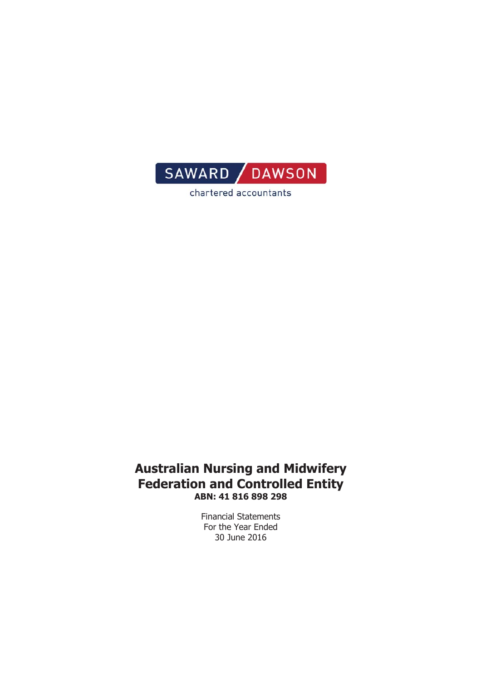

chartered accountants

# **Australian Nursing and Midwifery Federation and Controlled Entity** ABN: 41 816 898 298

Financial Statements For the Year Ended 30 June 2016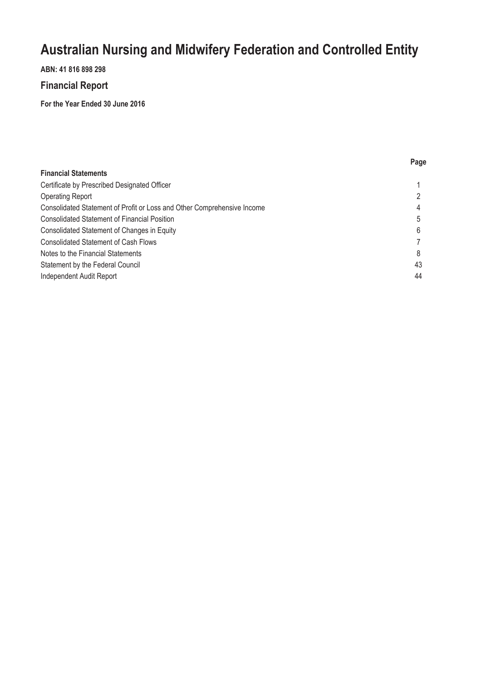# **ABN: 41 816 898 298**

# **Financial Report**

**For the Year Ended 30 June 2016**

| <b>Financial Statements</b>                                             |    |
|-------------------------------------------------------------------------|----|
| Certificate by Prescribed Designated Officer                            |    |
| <b>Operating Report</b>                                                 |    |
| Consolidated Statement of Profit or Loss and Other Comprehensive Income |    |
| <b>Consolidated Statement of Financial Position</b>                     | 5  |
| Consolidated Statement of Changes in Equity                             | 6  |
| <b>Consolidated Statement of Cash Flows</b>                             |    |
| Notes to the Financial Statements                                       |    |
| Statement by the Federal Council                                        | 43 |
| Independent Audit Report                                                | 44 |

**Page**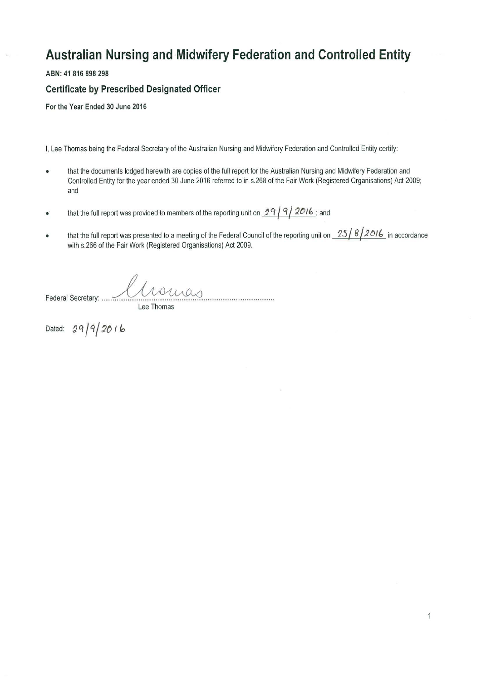ABN: 41 816 898 298

# **Certificate by Prescribed Designated Officer**

For the Year Ended 30 June 2016

I, Lee Thomas being the Federal Secretary of the Australian Nursing and Midwifery Federation and Controlled Entity certify:

- that the documents lodged herewith are copies of the full report for the Australian Nursing and Midwifery Federation and  $\bullet$ Controlled Entity for the year ended 30 June 2016 referred to in s.268 of the Fair Work (Registered Organisations) Act 2009; and
- that the full report was provided to members of the reporting unit on  $29/9/2016$ ; and  $\bullet$
- that the full report was presented to a meeting of the Federal Council of the reporting unit on  $25/8/2016$  in accordance with s.266 of the Fair Work (Registered Organisations) Act 2009.

Federal Secretary: 11 Married

Lee Thomas

Dated:  $29/9/2016$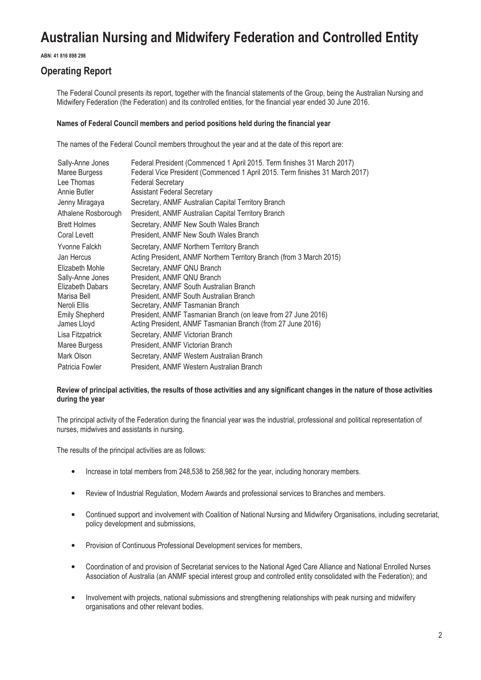ABN: 41 816 898 298

# **Operating Report**

The Federal Council presents its report, together with the financial statements of the Group, being the Australian Nursing and Midwifery Federation (the Federation) and its controlled entities, for the financial year ended 30 June 2016.

## Names of Federal Council members and period positions held during the financial year

The names of the Federal Council members throughout the year and at the date of this report are:

| Sally-Anne Jones      | Federal President (Commenced 1 April 2015. Term finishes 31 March 2017)      |
|-----------------------|------------------------------------------------------------------------------|
| Maree Burgess         | Federal Vice President (Commenced 1 April 2015. Term finishes 31 March 2017) |
| Lee Thomas            | <b>Federal Secretary</b>                                                     |
| Annie Butler          | <b>Assistant Federal Secretary</b>                                           |
| Jenny Miragaya        | Secretary, ANMF Australian Capital Territory Branch                          |
| Athalene Rosborough   | President, ANMF Australian Capital Territory Branch                          |
| <b>Brett Holmes</b>   | Secretary, ANMF New South Wales Branch                                       |
| Coral Levett          | President, ANMF New South Wales Branch                                       |
| Yvonne Falckh         | Secretary, ANMF Northern Territory Branch                                    |
| Jan Hercus            | Acting President, ANMF Northern Territory Branch (from 3 March 2015)         |
| Elizabeth Mohle       | Secretary, ANMF QNU Branch                                                   |
| Sally-Anne Jones      | President, ANMF QNU Branch                                                   |
| Elizabeth Dabars      | Secretary, ANMF South Australian Branch                                      |
| Marisa Bell           | President, ANMF South Australian Branch                                      |
| Neroli Ellis          | Secretary, ANMF Tasmanian Branch                                             |
| <b>Emily Shepherd</b> | President, ANMF Tasmanian Branch (on leave from 27 June 2016)                |
| James Lloyd           | Acting President, ANMF Tasmanian Branch (from 27 June 2016)                  |
| Lisa Fitzpatrick      | Secretary, ANMF Victorian Branch                                             |
| Maree Burgess         | President, ANMF Victorian Branch                                             |
| Mark Olson            | Secretary, ANMF Western Australian Branch                                    |
| Patricia Fowler       | President, ANMF Western Australian Branch                                    |

## Review of principal activities, the results of those activities and any significant changes in the nature of those activities during the year

The principal activity of the Federation during the financial year was the industrial, professional and political representation of nurses, midwives and assistants in nursing.

The results of the principal activities are as follows:

- Increase in total members from 248,538 to 258,982 for the year, including honorary members.
- Review of Industrial Requlation, Modern Awards and professional services to Branches and members.
- Continued support and involvement with Coalition of National Nursing and Midwifery Organisations, including secretariat, policy development and submissions,
- Provision of Continuous Professional Development services for members.
- Coordination of and provision of Secretariat services to the National Aged Care Alliance and National Enrolled Nurses Association of Australia (an ANMF special interest group and controlled entity consolidated with the Federation); and
- Involvement with projects, national submissions and strengthening relationships with peak nursing and midwifery organisations and other relevant bodies.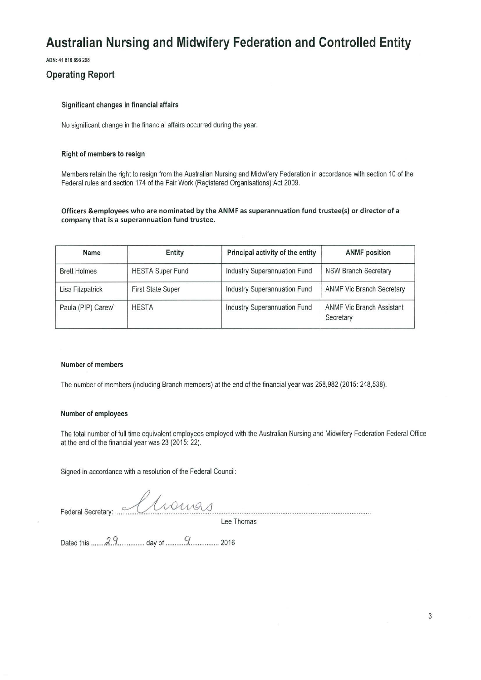ABN: 41 816 898 298

# **Operating Report**

#### Significant changes in financial affairs

No significant change in the financial affairs occurred during the year.

#### Right of members to resign

Members retain the right to resign from the Australian Nursing and Midwifery Federation in accordance with section 10 of the Federal rules and section 174 of the Fair Work (Registered Organisations) Act 2009.

#### Officers &employees who are nominated by the ANMF as superannuation fund trustee(s) or director of a company that is a superannuation fund trustee.

| Name                | Entity                   | Principal activity of the entity | <b>ANMF</b> position                          |
|---------------------|--------------------------|----------------------------------|-----------------------------------------------|
| <b>Brett Holmes</b> | <b>HESTA Super Fund</b>  | Industry Superannuation Fund     | <b>NSW Branch Secretary</b>                   |
| Lisa Fitzpatrick    | <b>First State Super</b> | Industry Superannuation Fund     | ANMF Vic Branch Secretary                     |
| Paula (PIP) Carew`  | <b>HESTA</b>             | Industry Superannuation Fund     | <b>ANMF Vic Branch Assistant</b><br>Secretary |

#### **Number of members**

The number of members (including Branch members) at the end of the financial year was 258,982 (2015: 248,538).

#### **Number of employees**

The total number of full time equivalent employees employed with the Australian Nursing and Midwifery Federation Federal Office at the end of the financial year was 23 (2015: 22).

Signed in accordance with a resolution of the Federal Council:

Federal Secretary: 1100000

Lee Thomas

Dated this  $29$  and day of  $9$  and  $9$  and  $2016$ 

 $\overline{3}$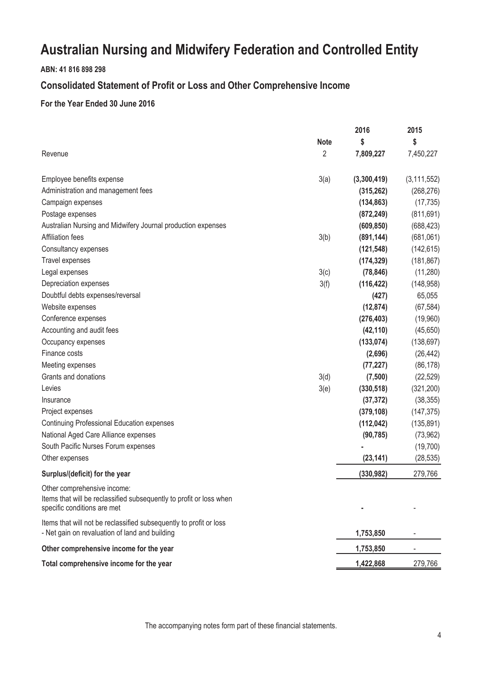# **ABN: 41 816 898 298**

# **Consolidated Statement of Profit or Loss and Other Comprehensive Income**

# **For the Year Ended 30 June 2016**

|                                                                                                                                   |             | 2016        | 2015          |
|-----------------------------------------------------------------------------------------------------------------------------------|-------------|-------------|---------------|
|                                                                                                                                   | <b>Note</b> | \$          | \$            |
| Revenue                                                                                                                           | 2           | 7,809,227   | 7,450,227     |
| Employee benefits expense                                                                                                         | 3(a)        | (3,300,419) | (3, 111, 552) |
| Administration and management fees                                                                                                |             | (315, 262)  | (268, 276)    |
| Campaign expenses                                                                                                                 |             | (134, 863)  | (17, 735)     |
| Postage expenses                                                                                                                  |             | (872, 249)  | (811, 691)    |
| Australian Nursing and Midwifery Journal production expenses                                                                      |             | (609, 850)  | (688, 423)    |
| Affiliation fees                                                                                                                  | 3(b)        | (891, 144)  | (681,061)     |
| Consultancy expenses                                                                                                              |             | (121, 548)  | (142, 615)    |
| Travel expenses                                                                                                                   |             | (174, 329)  | (181, 867)    |
| Legal expenses                                                                                                                    | 3(c)        | (78, 846)   | (11, 280)     |
| Depreciation expenses                                                                                                             | 3(f)        | (116, 422)  | (148, 958)    |
| Doubtful debts expenses/reversal                                                                                                  |             | (427)       | 65,055        |
| Website expenses                                                                                                                  |             | (12, 874)   | (67, 584)     |
| Conference expenses                                                                                                               |             | (276, 403)  | (19,960)      |
| Accounting and audit fees                                                                                                         |             | (42, 110)   | (45,650)      |
| Occupancy expenses                                                                                                                |             | (133, 074)  | (138, 697)    |
| Finance costs                                                                                                                     |             | (2,696)     | (26, 442)     |
| Meeting expenses                                                                                                                  |             | (77, 227)   | (86, 178)     |
| Grants and donations                                                                                                              | 3(d)        | (7,500)     | (22, 529)     |
| Levies                                                                                                                            | 3(e)        | (330, 518)  | (321, 200)    |
| Insurance                                                                                                                         |             | (37, 372)   | (38, 355)     |
| Project expenses                                                                                                                  |             | (379, 108)  | (147, 375)    |
| <b>Continuing Professional Education expenses</b>                                                                                 |             | (112, 042)  | (135, 891)    |
| National Aged Care Alliance expenses                                                                                              |             | (90, 785)   | (73, 962)     |
| South Pacific Nurses Forum expenses                                                                                               |             |             | (19,700)      |
| Other expenses                                                                                                                    |             | (23, 141)   | (28, 535)     |
| Surplus/(deficit) for the year                                                                                                    |             | (330, 982)  | 279,766       |
| Other comprehensive income:<br>Items that will be reclassified subsequently to profit or loss when<br>specific conditions are met |             |             |               |
| Items that will not be reclassified subsequently to profit or loss<br>- Net gain on revaluation of land and building              |             | 1,753,850   |               |
| Other comprehensive income for the year                                                                                           |             | 1,753,850   |               |
| Total comprehensive income for the year                                                                                           |             | 1,422,868   | 279,766       |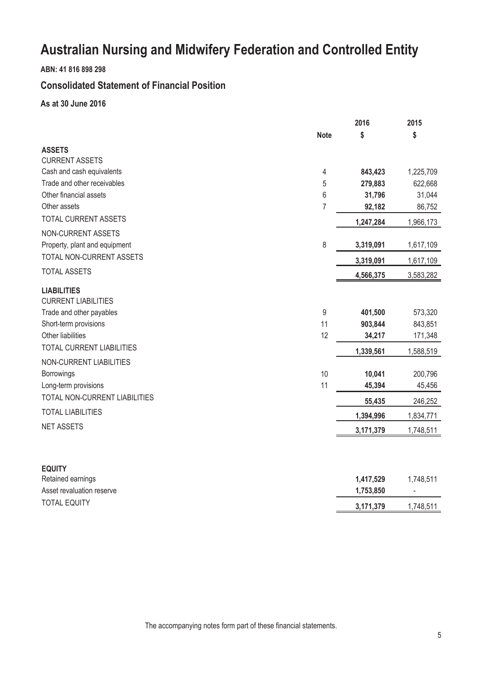**ABN: 41 816 898 298**

# **Consolidated Statement of Financial Position**

**As at 30 June 2016**

|                                                  |             | 2016      | 2015      |
|--------------------------------------------------|-------------|-----------|-----------|
|                                                  | <b>Note</b> | \$        | \$        |
| <b>ASSETS</b>                                    |             |           |           |
| <b>CURRENT ASSETS</b>                            |             |           |           |
| Cash and cash equivalents                        | 4           | 843,423   | 1,225,709 |
| Trade and other receivables                      | 5           | 279,883   | 622,668   |
| Other financial assets                           | 6           | 31,796    | 31,044    |
| Other assets                                     | 7           | 92,182    | 86,752    |
| TOTAL CURRENT ASSETS                             |             | 1,247,284 | 1,966,173 |
| <b>NON-CURRENT ASSETS</b>                        |             |           |           |
| Property, plant and equipment                    | 8           | 3,319,091 | 1,617,109 |
| TOTAL NON-CURRENT ASSETS                         |             | 3,319,091 | 1,617,109 |
| <b>TOTAL ASSETS</b>                              |             | 4,566,375 | 3,583,282 |
| <b>LIABILITIES</b><br><b>CURRENT LIABILITIES</b> |             |           |           |
| Trade and other payables                         | 9           | 401,500   | 573,320   |
| Short-term provisions                            | 11          | 903,844   | 843,851   |
| Other liabilities                                | 12          | 34,217    | 171,348   |
| <b>TOTAL CURRENT LIABILITIES</b>                 |             | 1,339,561 | 1,588,519 |
| NON-CURRENT LIABILITIES                          |             |           |           |
| Borrowings                                       | 10          | 10,041    | 200,796   |
| Long-term provisions                             | 11          | 45,394    | 45,456    |
| TOTAL NON-CURRENT LIABILITIES                    |             | 55,435    | 246,252   |
| <b>TOTAL LIABILITIES</b>                         |             | 1,394,996 | 1,834,771 |
| <b>NET ASSETS</b>                                |             | 3,171,379 | 1,748,511 |
|                                                  |             |           |           |
| <b>EQUITY</b>                                    |             |           |           |
| Retained earnings                                |             | 1,417,529 | 1,748,511 |
| Asset revaluation reserve                        |             | 1,753,850 |           |
| <b>TOTAL EQUITY</b>                              |             | 3,171,379 | 1,748,511 |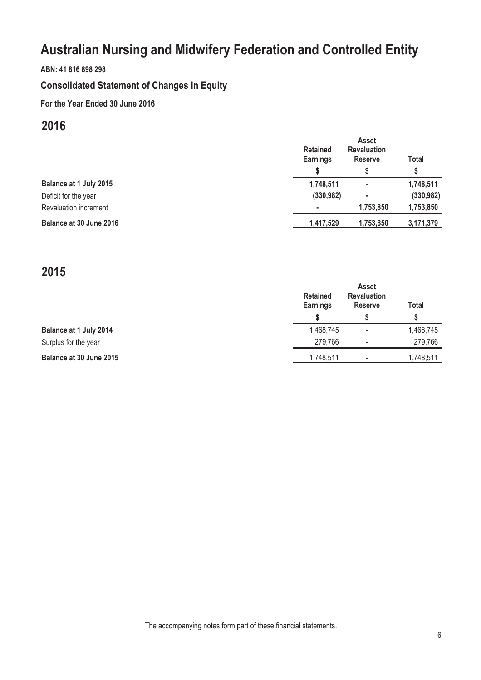**ABN: 41 816 898 298**

# **Consolidated Statement of Changes in Equity**

# **For the Year Ended 30 June 2016**

# **2016**

|                         | <b>Asset</b><br><b>Revaluation</b><br><b>Retained</b><br>Earnings<br><b>Reserve</b> |           | <b>Total</b> |
|-------------------------|-------------------------------------------------------------------------------------|-----------|--------------|
|                         |                                                                                     | S         | S            |
| Balance at 1 July 2015  | 1,748,511                                                                           | ٠         | 1,748,511    |
| Deficit for the year    | (330, 982)                                                                          | ٠         | (330, 982)   |
| Revaluation increment   |                                                                                     | 1,753,850 | 1,753,850    |
| Balance at 30 June 2016 | 1,417,529                                                                           | 1,753,850 | 3,171,379    |

# **2015**

|                         | <b>Retained</b><br>Earnings | <b>Asset</b><br><b>Revaluation</b><br><b>Reserve</b> | Total<br>S |
|-------------------------|-----------------------------|------------------------------------------------------|------------|
| Balance at 1 July 2014  | 1,468,745                   | $\overline{\phantom{0}}$                             | 1,468,745  |
| Surplus for the year    | 279,766                     | $\overline{\phantom{a}}$                             | 279,766    |
| Balance at 30 June 2015 | 1,748,511                   |                                                      | 1,748,511  |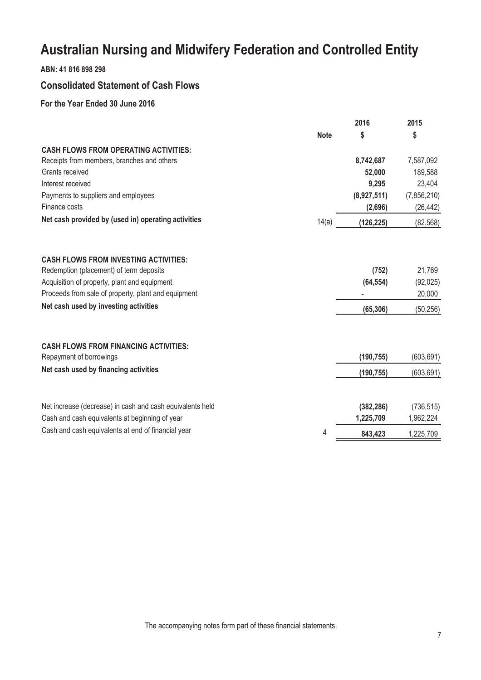# **ABN: 41 816 898 298**

# **Consolidated Statement of Cash Flows**

**For the Year Ended 30 June 2016**

|                                                           |             | 2016        | 2015        |
|-----------------------------------------------------------|-------------|-------------|-------------|
|                                                           | <b>Note</b> | \$          | \$          |
| <b>CASH FLOWS FROM OPERATING ACTIVITIES:</b>              |             |             |             |
| Receipts from members, branches and others                |             | 8,742,687   | 7,587,092   |
| Grants received                                           |             | 52,000      | 189,588     |
| Interest received                                         |             | 9,295       | 23,404      |
| Payments to suppliers and employees                       |             | (8,927,511) | (7,856,210) |
| Finance costs                                             |             | (2,696)     | (26, 442)   |
| Net cash provided by (used in) operating activities       | 14(a)       | (126, 225)  | (82, 568)   |
|                                                           |             |             |             |
| <b>CASH FLOWS FROM INVESTING ACTIVITIES:</b>              |             |             |             |
| Redemption (placement) of term deposits                   |             | (752)       | 21,769      |
| Acquisition of property, plant and equipment              |             | (64, 554)   | (92,025)    |
| Proceeds from sale of property, plant and equipment       |             |             | 20,000      |
| Net cash used by investing activities                     |             | (65, 306)   | (50, 256)   |
|                                                           |             |             |             |
| <b>CASH FLOWS FROM FINANCING ACTIVITIES:</b>              |             |             |             |
| Repayment of borrowings                                   |             | (190, 755)  | (603, 691)  |
| Net cash used by financing activities                     |             | (190, 755)  | (603, 691)  |
|                                                           |             |             |             |
| Net increase (decrease) in cash and cash equivalents held |             | (382, 286)  | (736, 515)  |
| Cash and cash equivalents at beginning of year            |             | 1,225,709   | 1,962,224   |
| Cash and cash equivalents at end of financial year        | 4           | 843,423     | 1,225,709   |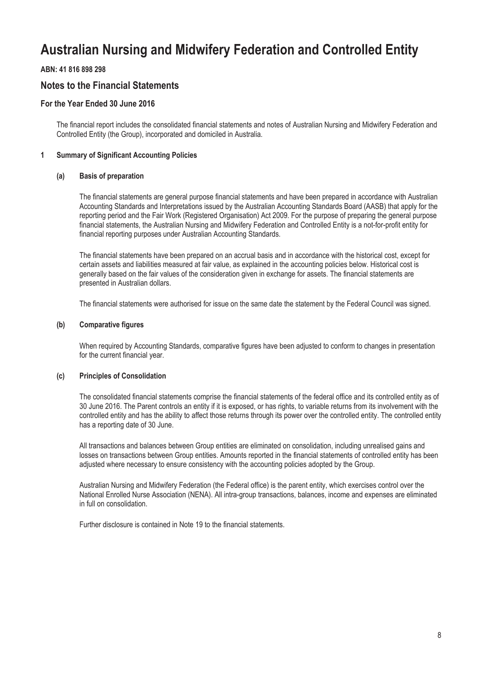# **ABN: 41 816 898 298**

# **Notes to the Financial Statements**

## **For the Year Ended 30 June 2016**

The financial report includes the consolidated financial statements and notes of Australian Nursing and Midwifery Federation and Controlled Entity (the Group), incorporated and domiciled in Australia.

#### **1 Summary of Significant Accounting Policies**

#### **(a) Basis of preparation**

The financial statements are general purpose financial statements and have been prepared in accordance with Australian Accounting Standards and Interpretations issued by the Australian Accounting Standards Board (AASB) that apply for the reporting period and the Fair Work (Registered Organisation) Act 2009. For the purpose of preparing the general purpose financial statements, the Australian Nursing and Midwifery Federation and Controlled Entity is a not-for-profit entity for financial reporting purposes under Australian Accounting Standards.

The financial statements have been prepared on an accrual basis and in accordance with the historical cost, except for certain assets and liabilities measured at fair value, as explained in the accounting policies below. Historical cost is generally based on the fair values of the consideration given in exchange for assets. The financial statements are presented in Australian dollars.

The financial statements were authorised for issue on the same date the statement by the Federal Council was signed.

#### **(b) Comparative figures**

When required by Accounting Standards, comparative figures have been adjusted to conform to changes in presentation for the current financial year.

#### **(c) Principles of Consolidation**

The consolidated financial statements comprise the financial statements of the federal office and its controlled entity as of 30 June 2016. The Parent controls an entity if it is exposed, or has rights, to variable returns from its involvement with the controlled entity and has the ability to affect those returns through its power over the controlled entity. The controlled entity has a reporting date of 30 June.

All transactions and balances between Group entities are eliminated on consolidation, including unrealised gains and losses on transactions between Group entities. Amounts reported in the financial statements of controlled entity has been adjusted where necessary to ensure consistency with the accounting policies adopted by the Group.

Australian Nursing and Midwifery Federation (the Federal office) is the parent entity, which exercises control over the National Enrolled Nurse Association (NENA). All intra-group transactions, balances, income and expenses are eliminated in full on consolidation.

Further disclosure is contained in Note 19 to the financial statements.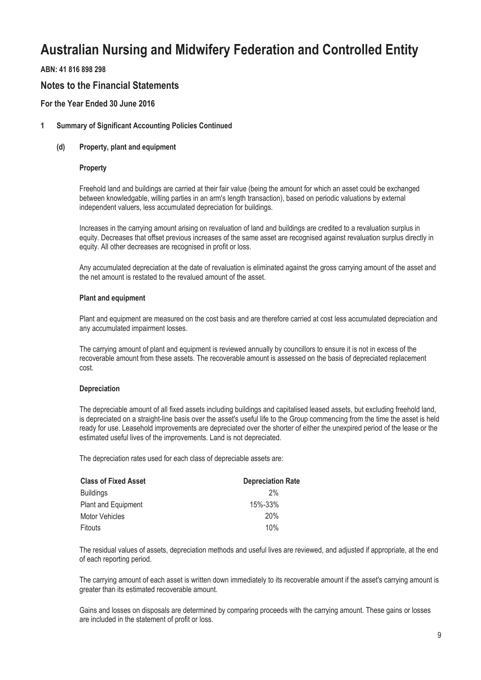# **ABN: 41 816 898 298**

# **Notes to the Financial Statements**

# **For the Year Ended 30 June 2016**

## **1 Summary of Significant Accounting Policies Continued**

## **(d) Property, plant and equipment**

## **Property**

Freehold land and buildings are carried at their fair value (being the amount for which an asset could be exchanged between knowledgable, willing parties in an arm's length transaction), based on periodic valuations by external independent valuers, less accumulated depreciation for buildings.

Increases in the carrying amount arising on revaluation of land and buildings are credited to a revaluation surplus in equity. Decreases that offset previous increases of the same asset are recognised against revaluation surplus directly in equity. All other decreases are recognised in profit or loss.

Any accumulated depreciation at the date of revaluation is eliminated against the gross carrying amount of the asset and the net amount is restated to the revalued amount of the asset.

#### **Plant and equipment**

Plant and equipment are measured on the cost basis and are therefore carried at cost less accumulated depreciation and any accumulated impairment losses.

The carrying amount of plant and equipment is reviewed annually by councillors to ensure it is not in excess of the recoverable amount from these assets. The recoverable amount is assessed on the basis of depreciated replacement cost.

#### **Depreciation**

The depreciable amount of all fixed assets including buildings and capitalised leased assets, but excluding freehold land, is depreciated on a straight-line basis over the asset's useful life to the Group commencing from the time the asset is held ready for use. Leasehold improvements are depreciated over the shorter of either the unexpired period of the lease or the estimated useful lives of the improvements. Land is not depreciated.

The depreciation rates used for each class of depreciable assets are:

| <b>Class of Fixed Asset</b> | <b>Depreciation Rate</b> |
|-----------------------------|--------------------------|
| <b>Buildings</b>            | 2%                       |
| <b>Plant and Equipment</b>  | 15%-33%                  |
| <b>Motor Vehicles</b>       | 20%                      |
| <b>Fitouts</b>              | 10%                      |

The residual values of assets, depreciation methods and useful lives are reviewed, and adjusted if appropriate, at the end of each reporting period.

The carrying amount of each asset is written down immediately to its recoverable amount if the asset's carrying amount is greater than its estimated recoverable amount.

Gains and losses on disposals are determined by comparing proceeds with the carrying amount. These gains or losses are included in the statement of profit or loss.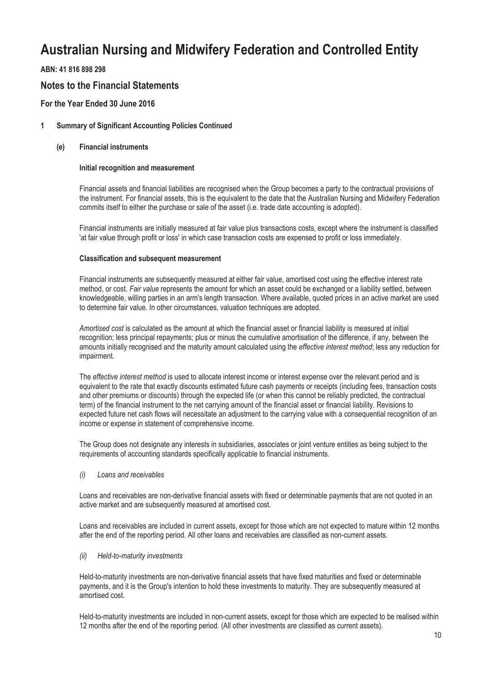**ABN: 41 816 898 298**

# **Notes to the Financial Statements**

# **For the Year Ended 30 June 2016**

## **1 Summary of Significant Accounting Policies Continued**

#### **(e) Financial instruments**

#### **Initial recognition and measurement**

Financial assets and financial liabilities are recognised when the Group becomes a party to the contractual provisions of the instrument. For financial assets, this is the equivalent to the date that the Australian Nursing and Midwifery Federation commits itself to either the purchase or sale of the asset (i.e. trade date accounting is adopted).

Financial instruments are initially measured at fair value plus transactions costs, except where the instrument is classified 'at fair value through profit or loss' in which case transaction costs are expensed to profit or loss immediately.

#### **Classification and subsequent measurement**

Financial instruments are subsequently measured at either fair value, amortised cost using the effective interest rate method, or cost. *Fair value* represents the amount for which an asset could be exchanged or a liability settled, between knowledgeable, willing parties in an arm's length transaction. Where available, quoted prices in an active market are used to determine fair value. In other circumstances, valuation techniques are adopted.

*Amortised cost* is calculated as the amount at which the financial asset or financial liability is measured at initial recognition; less principal repayments; plus or minus the cumulative amortisation of the difference, if any, between the amounts initially recognised and the maturity amount calculated using the *effective interest method*; less any reduction for impairment.

The *effective interest method* is used to allocate interest income or interest expense over the relevant period and is equivalent to the rate that exactly discounts estimated future cash payments or receipts (including fees, transaction costs and other premiums or discounts) through the expected life (or when this cannot be reliably predicted, the contractual term) of the financial instrument to the net carrying amount of the financial asset or financial liability. Revisions to expected future net cash flows will necessitate an adjustment to the carrying value with a consequential recognition of an income or expense in statement of comprehensive income.

The Group does not designate any interests in subsidiaries, associates or joint venture entities as being subject to the requirements of accounting standards specifically applicable to financial instruments.

## *(i) Loans and receivables*

Loans and receivables are non-derivative financial assets with fixed or determinable payments that are not quoted in an active market and are subsequently measured at amortised cost.

Loans and receivables are included in current assets, except for those which are not expected to mature within 12 months after the end of the reporting period. All other loans and receivables are classified as non-current assets.

#### *(ii) Held-to-maturity investments*

Held-to-maturity investments are non-derivative financial assets that have fixed maturities and fixed or determinable payments, and it is the Group's intention to hold these investments to maturity. They are subsequently measured at amortised cost.

Held-to-maturity investments are included in non-current assets, except for those which are expected to be realised within 12 months after the end of the reporting period. (All other investments are classified as current assets).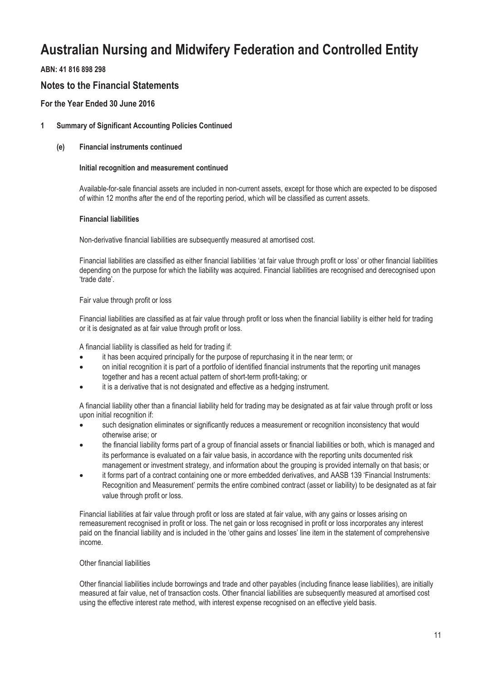# **ABN: 41 816 898 298**

# **Notes to the Financial Statements**

# **For the Year Ended 30 June 2016**

## **1 Summary of Significant Accounting Policies Continued**

## **(e) Financial instruments continued**

## **Initial recognition and measurement continued**

Available-for-sale financial assets are included in non-current assets, except for those which are expected to be disposed of within 12 months after the end of the reporting period, which will be classified as current assets.

## **Financial liabilities**

Non-derivative financial liabilities are subsequently measured at amortised cost.

Financial liabilities are classified as either financial liabilities 'at fair value through profit or loss' or other financial liabilities depending on the purpose for which the liability was acquired. Financial liabilities are recognised and derecognised upon 'trade date'.

## Fair value through profit or loss

Financial liabilities are classified as at fair value through profit or loss when the financial liability is either held for trading or it is designated as at fair value through profit or loss.

A financial liability is classified as held for trading if:

- it has been acquired principally for the purpose of repurchasing it in the near term; or
- ! on initial recognition it is part of a portfolio of identified financial instruments that the reporting unit manages together and has a recent actual pattern of short-term profit-taking; or
- it is a derivative that is not designated and effective as a hedging instrument.

A financial liability other than a financial liability held for trading may be designated as at fair value through profit or loss upon initial recognition if:

- such designation eliminates or significantly reduces a measurement or recognition inconsistency that would otherwise arise; or
- the financial liability forms part of a group of financial assets or financial liabilities or both, which is managed and its performance is evaluated on a fair value basis, in accordance with the reporting units documented risk management or investment strategy, and information about the grouping is provided internally on that basis; or
- it forms part of a contract containing one or more embedded derivatives, and AASB 139 'Financial Instruments: Recognition and Measurement' permits the entire combined contract (asset or liability) to be designated as at fair value through profit or loss.

Financial liabilities at fair value through profit or loss are stated at fair value, with any gains or losses arising on remeasurement recognised in profit or loss. The net gain or loss recognised in profit or loss incorporates any interest paid on the financial liability and is included in the 'other gains and losses' line item in the statement of comprehensive income.

## Other financial liabilities

Other financial liabilities include borrowings and trade and other payables (including finance lease liabilities), are initially measured at fair value, net of transaction costs. Other financial liabilities are subsequently measured at amortised cost using the effective interest rate method, with interest expense recognised on an effective yield basis.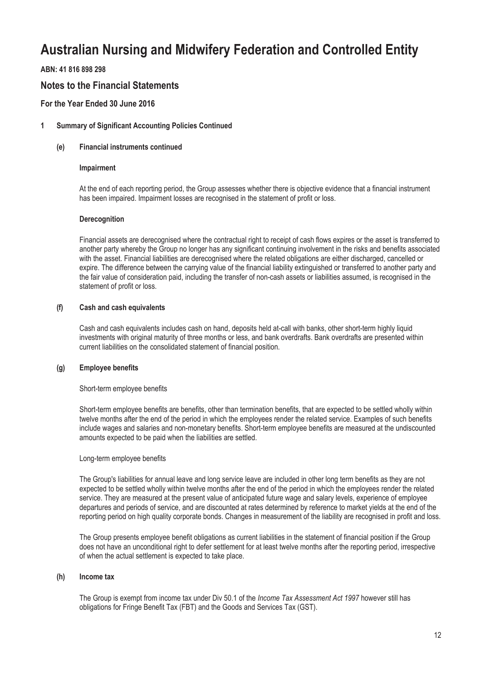# **ABN: 41 816 898 298**

# **Notes to the Financial Statements**

# **For the Year Ended 30 June 2016**

## **1 Summary of Significant Accounting Policies Continued**

## **(e) Financial instruments continued**

#### **Impairment**

At the end of each reporting period, the Group assesses whether there is objective evidence that a financial instrument has been impaired. Impairment losses are recognised in the statement of profit or loss.

#### **Derecognition**

Financial assets are derecognised where the contractual right to receipt of cash flows expires or the asset is transferred to another party whereby the Group no longer has any significant continuing involvement in the risks and benefits associated with the asset. Financial liabilities are derecognised where the related obligations are either discharged, cancelled or expire. The difference between the carrying value of the financial liability extinguished or transferred to another party and the fair value of consideration paid, including the transfer of non-cash assets or liabilities assumed, is recognised in the statement of profit or loss.

#### **(f) Cash and cash equivalents**

Cash and cash equivalents includes cash on hand, deposits held at-call with banks, other short-term highly liquid investments with original maturity of three months or less, and bank overdrafts. Bank overdrafts are presented within current liabilities on the consolidated statement of financial position.

#### **(g) Employee benefits**

#### Short-term employee benefits

Short-term employee benefits are benefits, other than termination benefits, that are expected to be settled wholly within twelve months after the end of the period in which the employees render the related service. Examples of such benefits include wages and salaries and non-monetary benefits. Short-term employee benefits are measured at the undiscounted amounts expected to be paid when the liabilities are settled.

#### Long-term employee benefits

The Group's liabilities for annual leave and long service leave are included in other long term benefits as they are not expected to be settled wholly within twelve months after the end of the period in which the employees render the related service. They are measured at the present value of anticipated future wage and salary levels, experience of employee departures and periods of service, and are discounted at rates determined by reference to market yields at the end of the reporting period on high quality corporate bonds. Changes in measurement of the liability are recognised in profit and loss.

The Group presents employee benefit obligations as current liabilities in the statement of financial position if the Group does not have an unconditional right to defer settlement for at least twelve months after the reporting period, irrespective of when the actual settlement is expected to take place.

#### **(h) Income tax**

The Group is exempt from income tax under Div 50.1 of the *Income Tax Assessment Act 1997* however still has obligations for Fringe Benefit Tax (FBT) and the Goods and Services Tax (GST).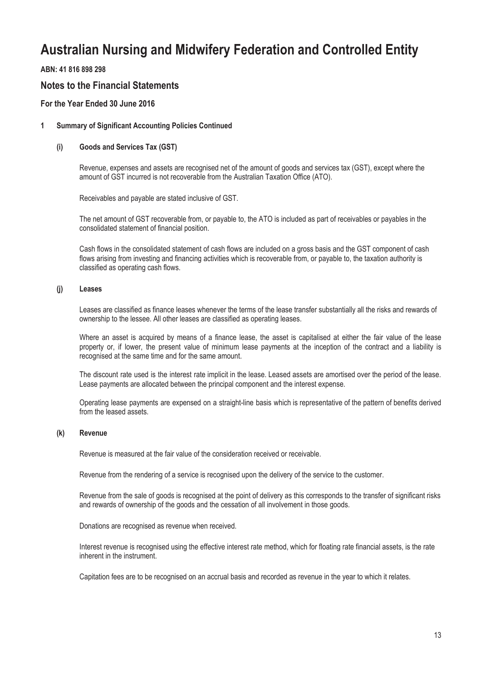**ABN: 41 816 898 298**

# **Notes to the Financial Statements**

# **For the Year Ended 30 June 2016**

## **1 Summary of Significant Accounting Policies Continued**

## **(i) Goods and Services Tax (GST)**

Revenue, expenses and assets are recognised net of the amount of goods and services tax (GST), except where the amount of GST incurred is not recoverable from the Australian Taxation Office (ATO).

Receivables and payable are stated inclusive of GST.

The net amount of GST recoverable from, or payable to, the ATO is included as part of receivables or payables in the consolidated statement of financial position.

Cash flows in the consolidated statement of cash flows are included on a gross basis and the GST component of cash flows arising from investing and financing activities which is recoverable from, or payable to, the taxation authority is classified as operating cash flows.

#### **(j) Leases**

Leases are classified as finance leases whenever the terms of the lease transfer substantially all the risks and rewards of ownership to the lessee. All other leases are classified as operating leases.

Where an asset is acquired by means of a finance lease, the asset is capitalised at either the fair value of the lease property or, if lower, the present value of minimum lease payments at the inception of the contract and a liability is recognised at the same time and for the same amount.

The discount rate used is the interest rate implicit in the lease. Leased assets are amortised over the period of the lease. Lease payments are allocated between the principal component and the interest expense.

Operating lease payments are expensed on a straight-line basis which is representative of the pattern of benefits derived from the leased assets.

#### **(k) Revenue**

Revenue is measured at the fair value of the consideration received or receivable.

Revenue from the rendering of a service is recognised upon the delivery of the service to the customer.

Revenue from the sale of goods is recognised at the point of delivery as this corresponds to the transfer of significant risks and rewards of ownership of the goods and the cessation of all involvement in those goods.

Donations are recognised as revenue when received.

Interest revenue is recognised using the effective interest rate method, which for floating rate financial assets, is the rate inherent in the instrument.

Capitation fees are to be recognised on an accrual basis and recorded as revenue in the year to which it relates.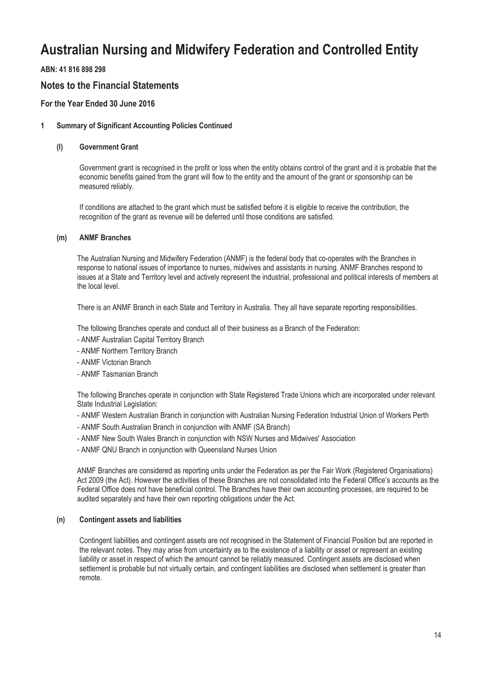**ABN: 41 816 898 298**

# **Notes to the Financial Statements**

# **For the Year Ended 30 June 2016**

## **1 Summary of Significant Accounting Policies Continued**

## **(l) Government Grant**

Government grant is recognised in the profit or loss when the entity obtains control of the grant and it is probable that the economic benefits gained from the grant will flow to the entity and the amount of the grant or sponsorship can be measured reliably.

If conditions are attached to the grant which must be satisfied before it is eligible to receive the contribution, the recognition of the grant as revenue will be deferred until those conditions are satisfied.

## **(m) ANMF Branches**

The Australian Nursing and Midwifery Federation (ANMF) is the federal body that co-operates with the Branches in response to national issues of importance to nurses, midwives and assistants in nursing. ANMF Branches respond to issues at a State and Territory level and actively represent the industrial, professional and political interests of members at the local level.

There is an ANMF Branch in each State and Territory in Australia. They all have separate reporting responsibilities.

The following Branches operate and conduct all of their business as a Branch of the Federation:

- ANMF Australian Capital Territory Branch
- ANMF Northern Territory Branch
- ANMF Victorian Branch
- ANMF Tasmanian Branch

The following Branches operate in conjunction with State Registered Trade Unions which are incorporated under relevant State Industrial Legislation:

- ANMF Western Australian Branch in conjunction with Australian Nursing Federation Industrial Union of Workers Perth
- ANMF South Australian Branch in conjunction with ANMF (SA Branch)
- ANMF New South Wales Branch in conjunction with NSW Nurses and Midwives' Association
- ANMF QNU Branch in conjunction with Queensland Nurses Union

ANMF Branches are considered as reporting units under the Federation as per the Fair Work (Registered Organisations) Act 2009 (the Act). However the activities of these Branches are not consolidated into the Federal Office's accounts as the Federal Office does not have beneficial control. The Branches have their own accounting processes, are required to be audited separately and have their own reporting obligations under the Act.

#### **(n) Contingent assets and liabilities**

Contingent liabilities and contingent assets are not recognised in the Statement of Financial Position but are reported in the relevant notes. They may arise from uncertainty as to the existence of a liability or asset or represent an existing liability or asset in respect of which the amount cannot be reliably measured. Contingent assets are disclosed when settlement is probable but not virtually certain, and contingent liabilities are disclosed when settlement is greater than remote.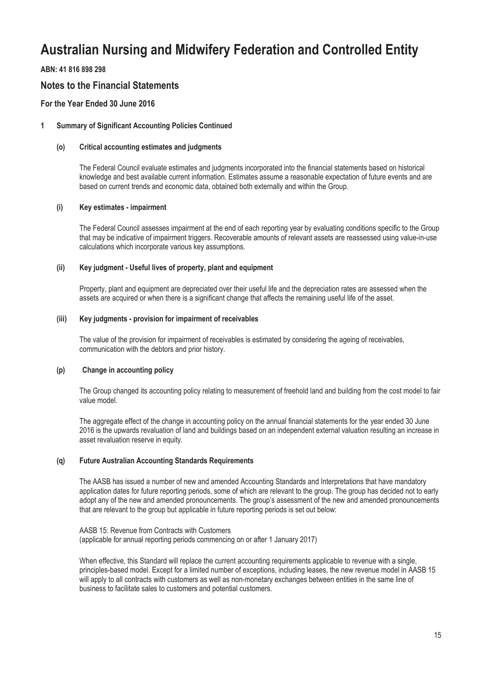**ABN: 41 816 898 298**

# **Notes to the Financial Statements**

# **For the Year Ended 30 June 2016**

## **1 Summary of Significant Accounting Policies Continued**

## **(o) Critical accounting estimates and judgments**

The Federal Council evaluate estimates and judgments incorporated into the financial statements based on historical knowledge and best available current information. Estimates assume a reasonable expectation of future events and are based on current trends and economic data, obtained both externally and within the Group.

#### **(i) Key estimates - impairment**

The Federal Council assesses impairment at the end of each reporting year by evaluating conditions specific to the Group that may be indicative of impairment triggers. Recoverable amounts of relevant assets are reassessed using value-in-use calculations which incorporate various key assumptions.

## **(ii) Key judgment - Useful lives of property, plant and equipment**

Property, plant and equipment are depreciated over their useful life and the depreciation rates are assessed when the assets are acquired or when there is a significant change that affects the remaining useful life of the asset.

#### **(iii) Key judgments - provision for impairment of receivables**

The value of the provision for impairment of receivables is estimated by considering the ageing of receivables, communication with the debtors and prior history.

#### **(p) Change in accounting policy**

The Group changed its accounting policy relating to measurement of freehold land and building from the cost model to fair value model.

The aggregate effect of the change in accounting policy on the annual financial statements for the year ended 30 June 2016 is the upwards revaluation of land and buildings based on an independent external valuation resulting an increase in asset revaluation reserve in equity.

## **(q) Future Australian Accounting Standards Requirements**

The AASB has issued a number of new and amended Accounting Standards and Interpretations that have mandatory application dates for future reporting periods, some of which are relevant to the group. The group has decided not to early adopt any of the new and amended pronouncements. The group's assessment of the new and amended pronouncements that are relevant to the group but applicable in future reporting periods is set out below:

AASB 15: Revenue from Contracts with Customers (applicable for annual reporting periods commencing on or after 1 January 2017)

When effective, this Standard will replace the current accounting requirements applicable to revenue with a single, principles-based model. Except for a limited number of exceptions, including leases, the new revenue model in AASB 15 will apply to all contracts with customers as well as non-monetary exchanges between entities in the same line of business to facilitate sales to customers and potential customers.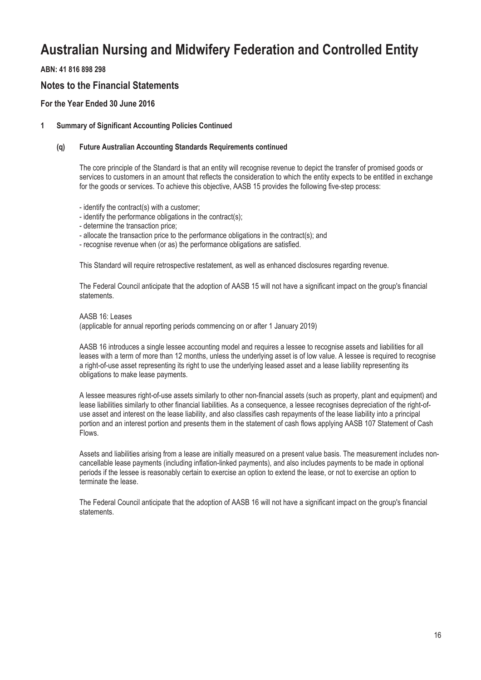**ABN: 41 816 898 298**

# **Notes to the Financial Statements**

# **For the Year Ended 30 June 2016**

## **1 Summary of Significant Accounting Policies Continued**

## **(q) Future Australian Accounting Standards Requirements continued**

The core principle of the Standard is that an entity will recognise revenue to depict the transfer of promised goods or services to customers in an amount that reflects the consideration to which the entity expects to be entitled in exchange for the goods or services. To achieve this objective, AASB 15 provides the following five-step process:

- identify the contract(s) with a customer;
- identify the performance obligations in the contract(s);
- determine the transaction price;
- allocate the transaction price to the performance obligations in the contract(s); and
- recognise revenue when (or as) the performance obligations are satisfied.

This Standard will require retrospective restatement, as well as enhanced disclosures regarding revenue.

The Federal Council anticipate that the adoption of AASB 15 will not have a significant impact on the group's financial statements.

AASB 16: Leases (applicable for annual reporting periods commencing on or after 1 January 2019)

AASB 16 introduces a single lessee accounting model and requires a lessee to recognise assets and liabilities for all leases with a term of more than 12 months, unless the underlying asset is of low value. A lessee is required to recognise a right-of-use asset representing its right to use the underlying leased asset and a lease liability representing its obligations to make lease payments.

A lessee measures right-of-use assets similarly to other non-financial assets (such as property, plant and equipment) and lease liabilities similarly to other financial liabilities. As a consequence, a lessee recognises depreciation of the right-ofuse asset and interest on the lease liability, and also classifies cash repayments of the lease liability into a principal portion and an interest portion and presents them in the statement of cash flows applying AASB 107 Statement of Cash Flows.

Assets and liabilities arising from a lease are initially measured on a present value basis. The measurement includes noncancellable lease payments (including inflation-linked payments), and also includes payments to be made in optional periods if the lessee is reasonably certain to exercise an option to extend the lease, or not to exercise an option to terminate the lease.

The Federal Council anticipate that the adoption of AASB 16 will not have a significant impact on the group's financial statements.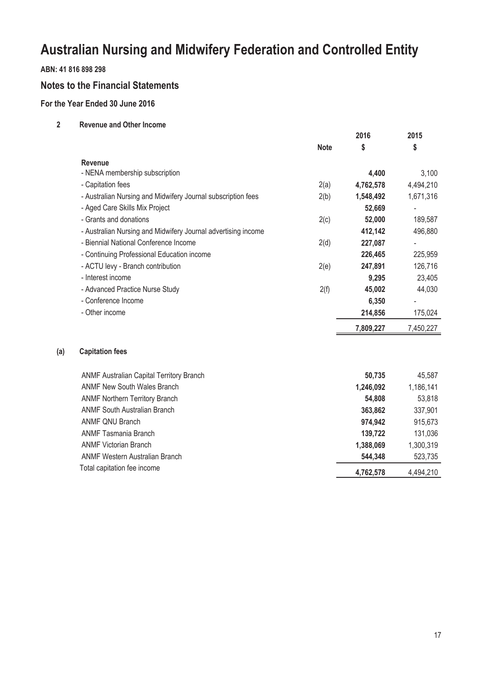# **ABN: 41 816 898 298**

# **Notes to the Financial Statements**

**For the Year Ended 30 June 2016**

| $\mathbf{2}$ | <b>Revenue and Other Income</b>                               |             |           |           |
|--------------|---------------------------------------------------------------|-------------|-----------|-----------|
|              |                                                               |             | 2016      | 2015      |
|              |                                                               | <b>Note</b> | \$        | \$        |
|              | <b>Revenue</b>                                                |             |           |           |
|              | - NENA membership subscription                                |             | 4,400     | 3,100     |
|              | - Capitation fees                                             | 2(a)        | 4,762,578 | 4,494,210 |
|              | - Australian Nursing and Midwifery Journal subscription fees  | 2(b)        | 1,548,492 | 1,671,316 |
|              | - Aged Care Skills Mix Project                                |             | 52,669    |           |
|              | - Grants and donations                                        | 2(c)        | 52,000    | 189,587   |
|              | - Australian Nursing and Midwifery Journal advertising income |             | 412,142   | 496,880   |
|              | - Biennial National Conference Income                         | 2(d)        | 227,087   |           |
|              | - Continuing Professional Education income                    |             | 226,465   | 225,959   |
|              | - ACTU levy - Branch contribution                             | 2(e)        | 247,891   | 126,716   |
|              | - Interest income                                             |             | 9,295     | 23,405    |
|              | - Advanced Practice Nurse Study                               | 2(f)        | 45,002    | 44,030    |
|              | - Conference Income                                           |             | 6,350     |           |
|              | - Other income                                                |             | 214,856   | 175,024   |
|              |                                                               |             | 7,809,227 | 7,450,227 |

| <b>ANMF Australian Capital Territory Branch</b> | 50,735    | 45.587    |
|-------------------------------------------------|-----------|-----------|
| <b>ANMF New South Wales Branch</b>              | 1,246,092 | 1,186,141 |
| <b>ANMF Northern Territory Branch</b>           | 54,808    | 53,818    |
| <b>ANMF South Australian Branch</b>             | 363,862   | 337,901   |
| ANMF QNU Branch                                 | 974,942   | 915,673   |
| ANMF Tasmania Branch                            | 139,722   | 131,036   |
| <b>ANMF Victorian Branch</b>                    | 1,388,069 | 1,300,319 |
| <b>ANMF Western Australian Branch</b>           | 544,348   | 523,735   |
| Total capitation fee income                     | 4,762,578 | 4,494,210 |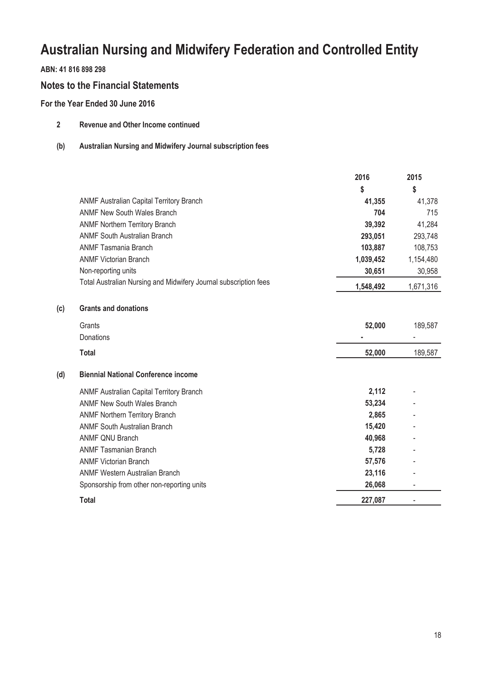# **ABN: 41 816 898 298**

# **Notes to the Financial Statements**

# **For the Year Ended 30 June 2016**

|  |  | Revenue and Other Income continued |  |
|--|--|------------------------------------|--|
|--|--|------------------------------------|--|

# **(b) Australian Nursing and Midwifery Journal subscription fees**

|     |                                                                  | 2016      | 2015      |
|-----|------------------------------------------------------------------|-----------|-----------|
|     |                                                                  | \$        | \$        |
|     | <b>ANMF Australian Capital Territory Branch</b>                  | 41,355    | 41,378    |
|     | <b>ANMF New South Wales Branch</b>                               | 704       | 715       |
|     | <b>ANMF Northern Territory Branch</b>                            | 39,392    | 41,284    |
|     | <b>ANMF South Australian Branch</b>                              | 293,051   | 293,748   |
|     | <b>ANMF Tasmania Branch</b>                                      | 103,887   | 108,753   |
|     | <b>ANMF Victorian Branch</b>                                     | 1,039,452 | 1,154,480 |
|     | Non-reporting units                                              | 30,651    | 30,958    |
|     | Total Australian Nursing and Midwifery Journal subscription fees | 1,548,492 | 1,671,316 |
| (c) | <b>Grants and donations</b>                                      |           |           |
|     | Grants                                                           | 52,000    | 189,587   |
|     | Donations                                                        |           |           |
|     | <b>Total</b>                                                     | 52,000    | 189,587   |
| (d) | <b>Biennial National Conference income</b>                       |           |           |
|     | ANMF Australian Capital Territory Branch                         | 2,112     |           |
|     | <b>ANMF New South Wales Branch</b>                               | 53,234    |           |
|     | <b>ANMF Northern Territory Branch</b>                            | 2,865     |           |
|     | <b>ANMF South Australian Branch</b>                              | 15,420    |           |
|     | <b>ANMF QNU Branch</b>                                           | 40,968    |           |
|     | <b>ANMF Tasmanian Branch</b>                                     | 5,728     |           |
|     | <b>ANMF Victorian Branch</b>                                     | 57,576    |           |
|     | <b>ANMF Western Australian Branch</b>                            | 23,116    |           |
|     | Sponsorship from other non-reporting units                       | 26,068    | ä,        |
|     | <b>Total</b>                                                     | 227,087   |           |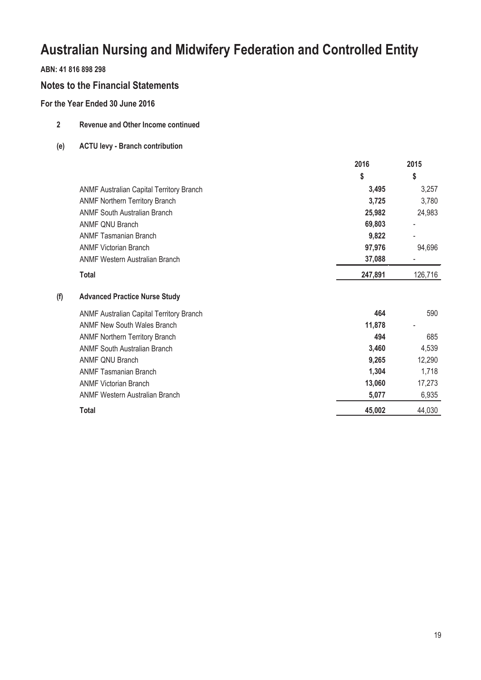# **ABN: 41 816 898 298**

# **Notes to the Financial Statements**

# **For the Year Ended 30 June 2016**

| 2<br>Revenue and Other Income continued |  |
|-----------------------------------------|--|
|-----------------------------------------|--|

**(e) ACTU levy - Branch contribution**

|     |                                                 | 2016    | 2015    |
|-----|-------------------------------------------------|---------|---------|
|     |                                                 | \$      | \$      |
|     | <b>ANMF Australian Capital Territory Branch</b> | 3,495   | 3,257   |
|     | <b>ANMF Northern Territory Branch</b>           | 3,725   | 3,780   |
|     | <b>ANMF South Australian Branch</b>             | 25,982  | 24,983  |
|     | <b>ANMF QNU Branch</b>                          | 69,803  |         |
|     | <b>ANMF Tasmanian Branch</b>                    | 9,822   |         |
|     | <b>ANMF Victorian Branch</b>                    | 97,976  | 94,696  |
|     | <b>ANMF Western Australian Branch</b>           | 37,088  |         |
|     | <b>Total</b>                                    | 247,891 | 126,716 |
| (f) | <b>Advanced Practice Nurse Study</b>            |         |         |
|     | <b>ANMF Australian Capital Territory Branch</b> | 464     | 590     |
|     | <b>ANMF New South Wales Branch</b>              | 11,878  |         |
|     | <b>ANMF Northern Territory Branch</b>           | 494     | 685     |
|     | <b>ANMF South Australian Branch</b>             | 3,460   | 4,539   |
|     | <b>ANMF QNU Branch</b>                          | 9,265   | 12,290  |
|     | <b>ANMF Tasmanian Branch</b>                    | 1,304   | 1,718   |
|     | <b>ANMF Victorian Branch</b>                    | 13,060  | 17,273  |
|     | ANMF Western Australian Branch                  | 5,077   | 6,935   |
|     | <b>Total</b>                                    | 45,002  | 44,030  |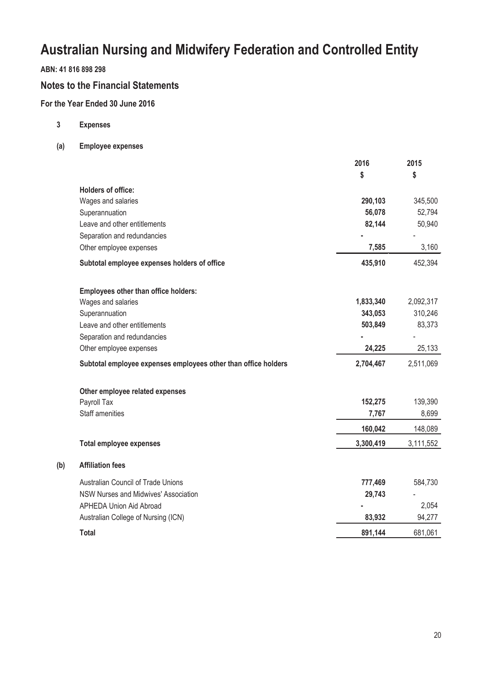# **ABN: 41 816 898 298**

# **Notes to the Financial Statements**

# **For the Year Ended 30 June 2016**

**3 Expenses**

**(b) Affiliation fees**

**(a) Employee expenses**

|                                                                | 2016      | 2015      |
|----------------------------------------------------------------|-----------|-----------|
|                                                                | \$        | \$        |
| Holders of office:                                             |           |           |
| Wages and salaries                                             | 290,103   | 345,500   |
| Superannuation                                                 | 56,078    | 52,794    |
| Leave and other entitlements                                   | 82,144    | 50,940    |
| Separation and redundancies                                    |           |           |
| Other employee expenses                                        | 7,585     | 3,160     |
| Subtotal employee expenses holders of office                   | 435,910   | 452,394   |
| Employees other than office holders:                           |           |           |
| Wages and salaries                                             | 1,833,340 | 2,092,317 |
| Superannuation                                                 | 343,053   | 310,246   |
| Leave and other entitlements                                   | 503,849   | 83,373    |
| Separation and redundancies                                    |           |           |
| Other employee expenses                                        | 24,225    | 25,133    |
| Subtotal employee expenses employees other than office holders | 2,704,467 | 2,511,069 |
| Other employee related expenses                                |           |           |
| Payroll Tax                                                    | 152,275   | 139,390   |
| <b>Staff amenities</b>                                         | 7,767     | 8,699     |
|                                                                | 160,042   | 148,089   |
| <b>Total employee expenses</b>                                 | 3,300,419 | 3,111,552 |
| <b>Affiliation fees</b>                                        |           |           |
| Australian Council of Trade Unions                             | 777,469   | 584,730   |
| <b>NSW Nurses and Midwives' Association</b>                    | 29,743    |           |
| <b>APHEDA Union Aid Abroad</b>                                 |           | 2,054     |
| Australian College of Nursing (ICN)                            | 83,932    | 94,277    |
| <b>Total</b>                                                   | 891,144   | 681,061   |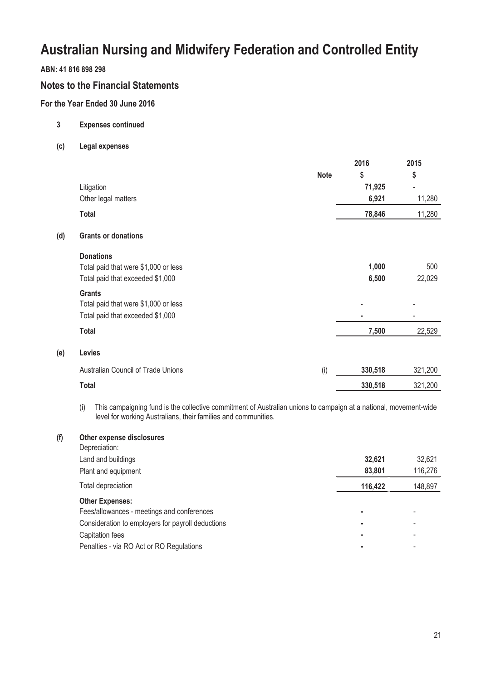# **ABN: 41 816 898 298**

**(d)** 

(e)

# **Notes to the Financial Statements**

# **For the Year Ended 30 June 2016**

- **3 Expenses continued**
- **(c) Legal expenses**

| <b>Note</b> | \$      |         |
|-------------|---------|---------|
|             |         | \$      |
|             | 71,925  | ٠       |
|             | 6,921   | 11,280  |
|             | 78,846  | 11,280  |
|             |         |         |
|             |         |         |
|             | 1,000   | 500     |
|             | 6,500   | 22,029  |
|             |         |         |
|             | ٠       |         |
|             |         |         |
|             | 7,500   | 22,529  |
|             |         |         |
| (i)         | 330,518 | 321,200 |
|             | 330,518 | 321,200 |
|             |         |         |

(i) This campaigning fund is the collective commitment of Australian unions to campaign at a national, movement-wide level for working Australians, their families and communities.

## **(f) Other expense disclosures**

| Depreciation:                                     |         |         |
|---------------------------------------------------|---------|---------|
| Land and buildings                                | 32,621  | 32,621  |
| Plant and equipment                               | 83,801  | 116,276 |
| Total depreciation                                | 116,422 | 148,897 |
| <b>Other Expenses:</b>                            |         |         |
| Fees/allowances - meetings and conferences        | ۰       |         |
| Consideration to employers for payroll deductions |         | -       |
| Capitation fees                                   |         |         |
| Penalties - via RO Act or RO Regulations          |         |         |
|                                                   |         |         |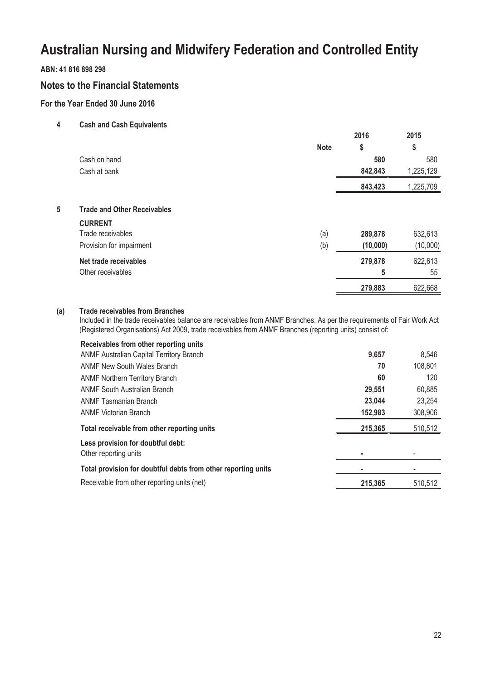# **ABN: 41 816 898 298**

# **Notes to the Financial Statements**

# **For the Year Ended 30 June 2016**

**4 Cash and Cash Equivalents**

|   |                                    |             | 2016     | 2015      |
|---|------------------------------------|-------------|----------|-----------|
|   |                                    | <b>Note</b> | \$       | \$        |
|   | Cash on hand                       |             | 580      | 580       |
|   | Cash at bank                       |             | 842,843  | 1,225,129 |
|   |                                    |             | 843,423  | 1,225,709 |
| 5 | <b>Trade and Other Receivables</b> |             |          |           |
|   | <b>CURRENT</b>                     |             |          |           |
|   | Trade receivables                  | (a)         | 289,878  | 632,613   |
|   | Provision for impairment           | (b)         | (10,000) | (10,000)  |
|   | Net trade receivables              |             | 279,878  | 622,613   |
|   | Other receivables                  |             | 5        | 55        |
|   |                                    |             | 279,883  | 622,668   |

## **(a) Trade receivables from Branches**

Included in the trade receivables balance are receivables from ANMF Branches. As per the requirements of Fair Work Act (Registered Organisations) Act 2009, trade receivables from ANMF Branches (reporting units) consist of:

| Receivables from other reporting units                        |         |         |
|---------------------------------------------------------------|---------|---------|
| <b>ANMF Australian Capital Territory Branch</b>               | 9,657   | 8,546   |
| <b>ANMF New South Wales Branch</b>                            | 70      | 108,801 |
| <b>ANMF Northern Territory Branch</b>                         | 60      | 120     |
| <b>ANMF South Australian Branch</b>                           | 29,551  | 60,885  |
| ANMF Tasmanian Branch                                         | 23,044  | 23,254  |
| <b>ANMF Victorian Branch</b>                                  | 152,983 | 308,906 |
| Total receivable from other reporting units                   | 215,365 | 510,512 |
| Less provision for doubtful debt:<br>Other reporting units    |         |         |
| Total provision for doubtful debts from other reporting units |         |         |
| Receivable from other reporting units (net)                   | 215,365 | 510,512 |
|                                                               |         |         |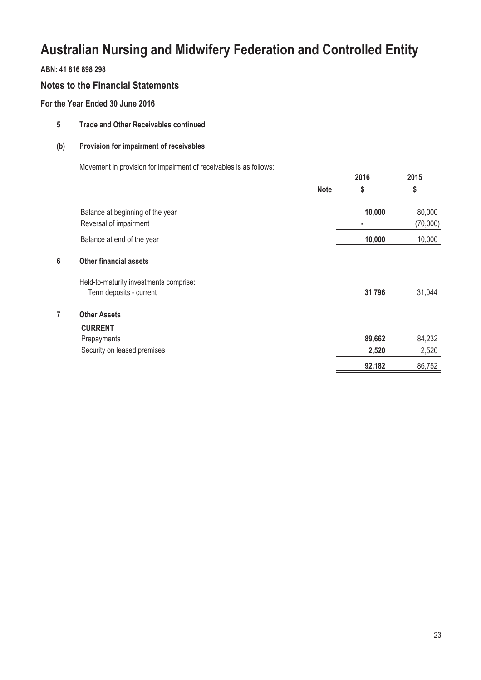# **ABN: 41 816 898 298**

# **Notes to the Financial Statements**

# **For the Year Ended 30 June 2016**

# **5 Trade and Other Receivables continued**

# **(b) Provision for impairment of receivables**

Movement in provision for impairment of receivables is as follows:

|   |                                                                   |             | 2016   | 2015     |
|---|-------------------------------------------------------------------|-------------|--------|----------|
|   |                                                                   | <b>Note</b> | \$     | \$       |
|   | Balance at beginning of the year                                  |             | 10,000 | 80,000   |
|   | Reversal of impairment                                            |             | ٠      | (70,000) |
|   | Balance at end of the year                                        |             | 10,000 | 10,000   |
| 6 | <b>Other financial assets</b>                                     |             |        |          |
|   | Held-to-maturity investments comprise:<br>Term deposits - current |             | 31,796 | 31,044   |
| 7 | <b>Other Assets</b>                                               |             |        |          |
|   | <b>CURRENT</b>                                                    |             |        |          |
|   | Prepayments                                                       |             | 89,662 | 84,232   |
|   | Security on leased premises                                       |             | 2,520  | 2,520    |
|   |                                                                   |             | 92,182 | 86,752   |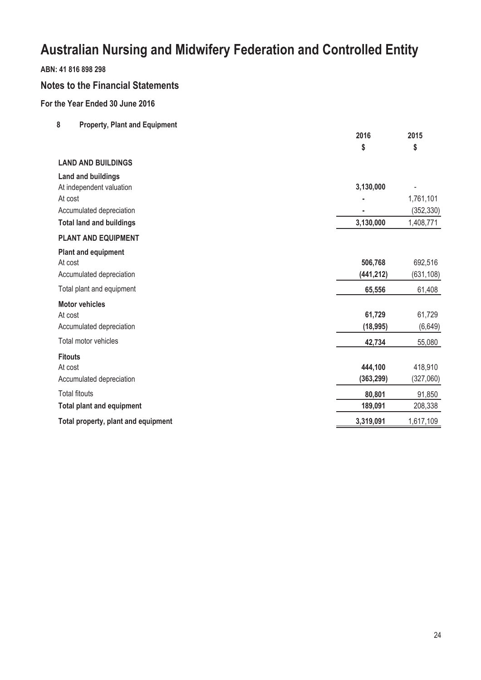# **ABN: 41 816 898 298**

# **Notes to the Financial Statements**

**For the Year Ended 30 June 2016**

**8 Property, Plant and Equipment 2016 \$ 2015 \$ LAND AND BUILDINGS Land and buildings** At independent valuation **3,130,000** -At cost **-** 1,761,101 Accumulated depreciation **and a set of the contract of the contract of the contract of the contract of the contract of the contract of the contract of the contract of the contract of the contract of the contract of the con Total land and buildings 3,130,000** 1,408,771 **PLANT AND EQUIPMENT Plant and equipment** At cost **506,768** 692,516 Accumulated depreciation **(441,212)** (631,108) Total plant and equipment **65,556** 61,408 **Motor vehicles** At cost **61,729** 61,729 Accumulated depreciation **(18,995)** (6,649) Total motor vehicles **42,734** 55,080 **Fitouts** At cost **444,100** 418,910 Accumulated depreciation **(363,299)** (327,060) Total fitouts **80,801** 91,850 **Total plant and equipment 189,091** 208,338 **Total property, plant and equipment 3,319,091** 1,617,109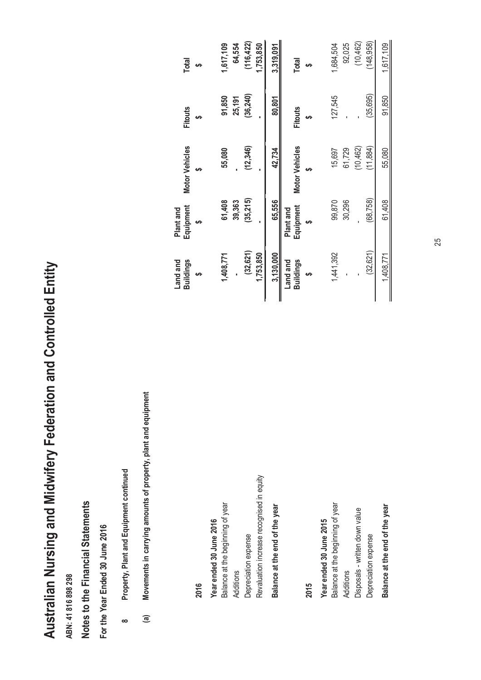Australian Nursing and Midwifery Federation and Controlled Entity **Australian Nursing and Midwifery Federation and Controlled Entity**

Notes to the Financial Statements **Notes to the Financial Statements**

For the Year Ended 30 June 2016 **For the Year Ended 30 June 2016**

- Property, Plant and Equipment continued **8 Property, Plant and Equipment continued**  $\infty$
- Movements in carrying amounts of property, plant and equipment **(a) Movements in carrying amounts of property, plant and equipment**  $\widehat{a}$

|                                           | Land and<br><b>Buildings</b> | Equipment<br>Plant and | Motor Vehicles | <b>Fitouts</b> | <b>Total</b> |
|-------------------------------------------|------------------------------|------------------------|----------------|----------------|--------------|
| 2016                                      |                              |                        |                |                |              |
| Year ended 30 June 2016                   |                              |                        |                |                |              |
| Balance at the beginning of year          | 1,408,771                    | 61,408                 | 55,080         | 91,850         | 1,617,109    |
| <b>Additions</b>                          |                              | 39,363                 |                | 25,191         | 64,554       |
| Depreciation expense                      | (32, 621)                    | (35,215)               | (12, 346)      | (36, 240)      | (116, 422)   |
| Revaluation increase recognised in equity | 1,753,850                    |                        |                |                | 1,753,850    |
| Balance at the end of the year            | 3,130,000                    | 65,556                 | 42,734         | 80,801         | 3,319,091    |
|                                           | Land and<br><b>Buildings</b> | Equipment<br>Plant and | Motor Vehicles | <b>Fitouts</b> | Total        |
| 2015                                      |                              |                        |                |                |              |
| Year ended 30 June 2015                   |                              |                        |                |                |              |
| Balance at the beginning of year          | 1,441,392                    | 99,870                 | 15,697         | 127,545        | 1,684,504    |
| <b>Additions</b>                          |                              | 30,296                 | 61,729         |                | 92,025       |
| Disposals - written down value            |                              |                        | (10, 462)      |                | (10, 462)    |
| Depreciation expense                      | (32, 621)                    | (68, 758)              | (11, 884)      | (35,695)       | (148, 958)   |
| Balance at the end of the year            | 1,408,771                    | 61,408                 | 55,080         | 91,850         | 1,617,109    |

25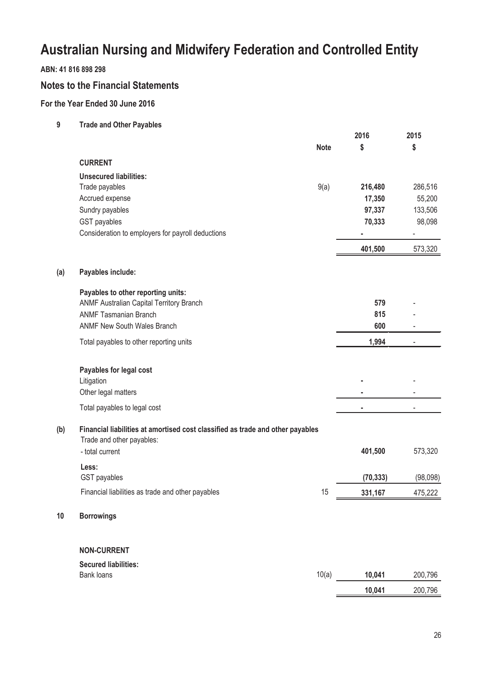# **ABN: 41 816 898 298**

# **Notes to the Financial Statements**

# **For the Year Ended 30 June 2016**

**9 Trade and Other Payables**

|     |                                                                                                             |             | 2016       | 2015     |
|-----|-------------------------------------------------------------------------------------------------------------|-------------|------------|----------|
|     |                                                                                                             | <b>Note</b> | \$         | \$       |
|     | <b>CURRENT</b>                                                                                              |             |            |          |
|     | <b>Unsecured liabilities:</b>                                                                               |             |            |          |
|     | Trade payables                                                                                              | 9(a)        | 216,480    | 286,516  |
|     | Accrued expense                                                                                             |             | 17,350     | 55,200   |
|     | Sundry payables                                                                                             |             | 97,337     | 133,506  |
|     | <b>GST</b> payables                                                                                         |             | 70,333     | 98,098   |
|     | Consideration to employers for payroll deductions                                                           |             |            |          |
|     |                                                                                                             |             | 401,500    | 573,320  |
| (a) | Payables include:                                                                                           |             |            |          |
|     | Payables to other reporting units:                                                                          |             |            |          |
|     | ANMF Australian Capital Territory Branch                                                                    |             | 579        |          |
|     | <b>ANMF Tasmanian Branch</b><br><b>ANMF New South Wales Branch</b>                                          |             | 815<br>600 |          |
|     |                                                                                                             |             |            |          |
|     | Total payables to other reporting units                                                                     |             | 1,994      |          |
|     | Payables for legal cost                                                                                     |             |            |          |
|     | Litigation<br>Other legal matters                                                                           |             |            |          |
|     |                                                                                                             |             |            |          |
|     | Total payables to legal cost                                                                                |             |            |          |
| (b) | Financial liabilities at amortised cost classified as trade and other payables<br>Trade and other payables: |             |            |          |
|     | - total current                                                                                             |             | 401,500    | 573,320  |
|     | Less:                                                                                                       |             |            |          |
|     | GST payables                                                                                                |             | (70, 333)  | (98,098) |
|     | Financial liabilities as trade and other payables                                                           | 15          | 331,167    | 475,222  |
| 10  | <b>Borrowings</b>                                                                                           |             |            |          |
|     | <b>NON-CURRENT</b>                                                                                          |             |            |          |
|     | <b>Secured liabilities:</b>                                                                                 |             |            |          |
|     | <b>Bank loans</b>                                                                                           | 10(a)       | 10,041     | 200,796  |
|     |                                                                                                             |             | 10,041     | 200,796  |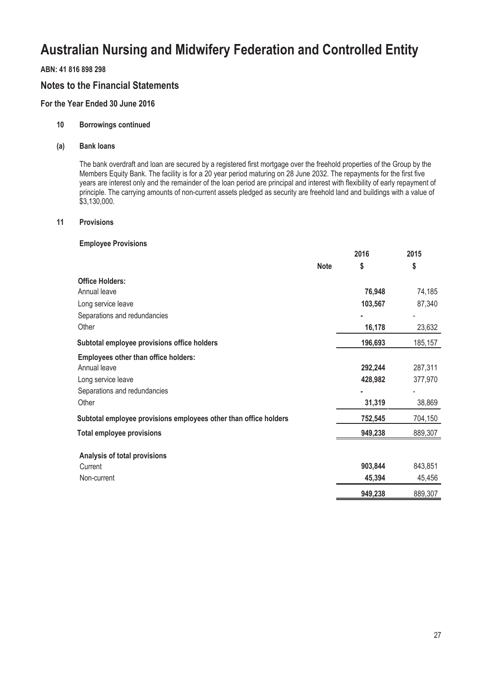# **ABN: 41 816 898 298**

# **Notes to the Financial Statements**

# **For the Year Ended 30 June 2016**

- **10 Borrowings continued**
- **(a) Bank loans**

The bank overdraft and loan are secured by a registered first mortgage over the freehold properties of the Group by the Members Equity Bank. The facility is for a 20 year period maturing on 28 June 2032. The repayments for the first five years are interest only and the remainder of the loan period are principal and interest with flexibility of early repayment of principle. The carrying amounts of non-current assets pledged as security are freehold land and buildings with a value of \$3,130,000.

#### **11 Provisions**

#### **Employee Provisions**

|                                                                  | 2016              | 2015    |
|------------------------------------------------------------------|-------------------|---------|
|                                                                  | <b>Note</b><br>\$ | \$      |
| <b>Office Holders:</b>                                           |                   |         |
| Annual leave                                                     | 76,948            | 74,185  |
| Long service leave                                               | 103,567           | 87,340  |
| Separations and redundancies                                     |                   |         |
| Other                                                            | 16,178            | 23,632  |
| Subtotal employee provisions office holders                      | 196,693           | 185,157 |
| <b>Employees other than office holders:</b>                      |                   |         |
| Annual leave                                                     | 292,244           | 287,311 |
| Long service leave                                               | 428,982           | 377,970 |
| Separations and redundancies                                     |                   |         |
| Other                                                            | 31,319            | 38,869  |
| Subtotal employee provisions employees other than office holders | 752,545           | 704,150 |
| <b>Total employee provisions</b>                                 | 949,238           | 889,307 |
| Analysis of total provisions                                     |                   |         |
| Current                                                          | 903,844           | 843,851 |
| Non-current                                                      | 45,394            | 45,456  |
|                                                                  | 949,238           | 889,307 |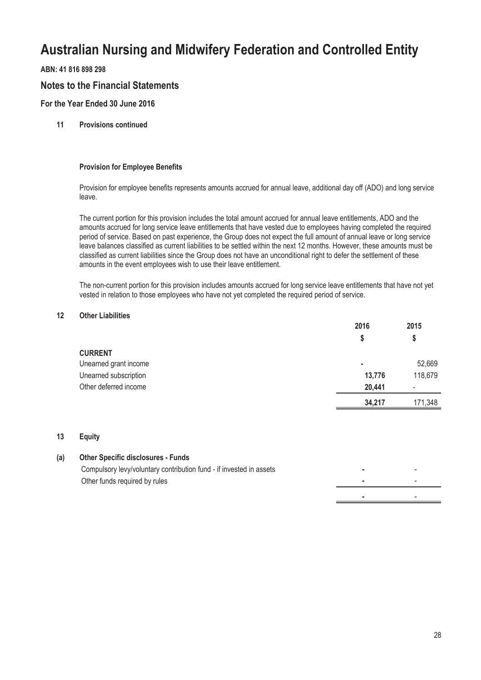# **ABN: 41 816 898 298**

# **Notes to the Financial Statements**

## **For the Year Ended 30 June 2016**

#### **11 Provisions continued**

## **Provision for Employee Benefits**

Provision for employee benefits represents amounts accrued for annual leave, additional day off (ADO) and long service leave.

The current portion for this provision includes the total amount accrued for annual leave entitlements, ADO and the amounts accrued for long service leave entitlements that have vested due to employees having completed the required period of service. Based on past experience, the Group does not expect the full amount of annual leave or long service leave balances classified as current liabilities to be settled within the next 12 months. However, these amounts must be classified as current liabilities since the Group does not have an unconditional right to defer the settlement of these amounts in the event employees wish to use their leave entitlement.

The non-current portion for this provision includes amounts accrued for long service leave entitlements that have not yet vested in relation to those employees who have not yet completed the required period of service.

## **12 Other Liabilities**

|                       | 2016   | 2015    |
|-----------------------|--------|---------|
|                       | S      | \$      |
| <b>CURRENT</b>        |        |         |
| Unearned grant income | ٠      | 52,669  |
| Unearned subscription | 13,776 | 118,679 |
| Other deferred income | 20,441 | -       |
|                       | 34,217 | 171,348 |

#### **13 Equity**

#### **(a) Other Specific disclosures - Funds**

Compulsory levy/voluntary contribution fund - if invested in assets **-** - Other funds required by rules **-** -

**-** -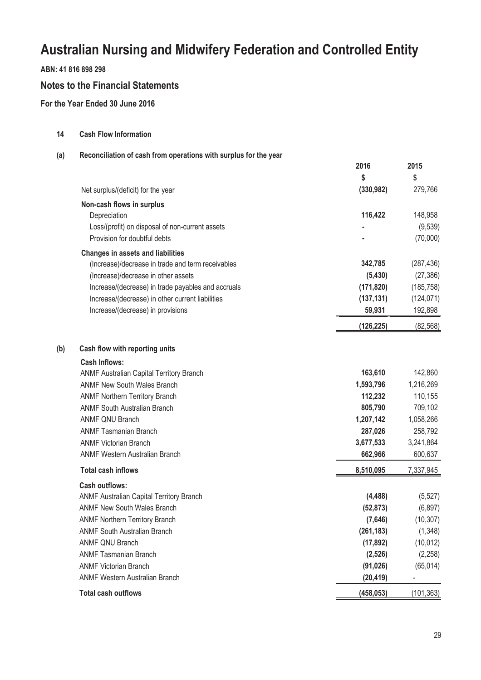# **ABN: 41 816 898 298**

# **Notes to the Financial Statements**

**For the Year Ended 30 June 2016**

**14 Cash Flow Information**

| (a) | Reconciliation of cash from operations with surplus for the year |            |            |
|-----|------------------------------------------------------------------|------------|------------|
|     |                                                                  | 2016       | 2015       |
|     |                                                                  | \$         | \$         |
|     | Net surplus/(deficit) for the year                               | (330, 982) | 279,766    |
|     | Non-cash flows in surplus                                        |            |            |
|     | Depreciation                                                     | 116,422    | 148,958    |
|     | Loss/(profit) on disposal of non-current assets                  |            | (9,539)    |
|     | Provision for doubtful debts                                     |            | (70,000)   |
|     | <b>Changes in assets and liabilities</b>                         |            |            |
|     | (Increase)/decrease in trade and term receivables                | 342,785    | (287, 436) |
|     | (Increase)/decrease in other assets                              | (5, 430)   | (27, 386)  |
|     | Increase/(decrease) in trade payables and accruals               | (171, 820) | (185, 758) |
|     | Increase/(decrease) in other current liabilities                 | (137, 131) | (124, 071) |
|     | Increase/(decrease) in provisions                                | 59,931     | 192,898    |
|     |                                                                  | (126, 225) | (82, 568)  |
| (b) | Cash flow with reporting units                                   |            |            |
|     | <b>Cash Inflows:</b>                                             |            |            |
|     | ANMF Australian Capital Territory Branch                         | 163,610    | 142,860    |
|     | <b>ANMF New South Wales Branch</b>                               | 1,593,796  | 1,216,269  |
|     | <b>ANMF Northern Territory Branch</b>                            | 112,232    | 110,155    |
|     | <b>ANMF South Australian Branch</b>                              | 805,790    | 709,102    |
|     | <b>ANMF QNU Branch</b>                                           | 1,207,142  | 1,058,266  |
|     | <b>ANMF Tasmanian Branch</b>                                     | 287,026    | 258,792    |
|     | <b>ANMF Victorian Branch</b>                                     | 3,677,533  | 3,241,864  |
|     | <b>ANMF Western Australian Branch</b>                            | 662,966    | 600,637    |
|     | <b>Total cash inflows</b>                                        | 8,510,095  | 7,337,945  |
|     | <b>Cash outflows:</b>                                            |            |            |
|     | ANMF Australian Capital Territory Branch                         | (4, 488)   | (5, 527)   |
|     | <b>ANMF New South Wales Branch</b>                               | (52, 873)  | (6, 897)   |
|     | <b>ANMF Northern Territory Branch</b>                            | (7,646)    | (10, 307)  |
|     | <b>ANMF South Australian Branch</b>                              | (261, 183) | (1,348)    |
|     | <b>ANMF QNU Branch</b>                                           | (17, 892)  | (10, 012)  |
|     | <b>ANMF Tasmanian Branch</b>                                     | (2, 526)   | (2, 258)   |
|     | <b>ANMF Victorian Branch</b>                                     | (91, 026)  | (65, 014)  |
|     | <b>ANMF Western Australian Branch</b>                            | (20, 419)  |            |
|     | <b>Total cash outflows</b>                                       | (458, 053) | (101, 363) |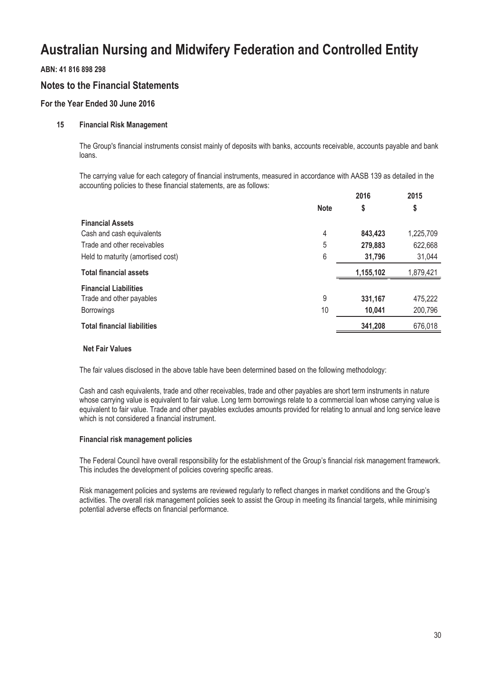**ABN: 41 816 898 298**

# **Notes to the Financial Statements**

## **For the Year Ended 30 June 2016**

## **15 Financial Risk Management**

The Group's financial instruments consist mainly of deposits with banks, accounts receivable, accounts payable and bank loans.

The carrying value for each category of financial instruments, measured in accordance with AASB 139 as detailed in the accounting policies to these financial statements, are as follows:

|                                    |             | 2016      | 2015      |
|------------------------------------|-------------|-----------|-----------|
|                                    | <b>Note</b> | \$        | \$        |
| <b>Financial Assets</b>            |             |           |           |
| Cash and cash equivalents          | 4           | 843,423   | 1,225,709 |
| Trade and other receivables        | 5           | 279,883   | 622,668   |
| Held to maturity (amortised cost)  | 6           | 31,796    | 31,044    |
| <b>Total financial assets</b>      |             | 1,155,102 | 1,879,421 |
| <b>Financial Liabilities</b>       |             |           |           |
| Trade and other payables           | 9           | 331,167   | 475,222   |
| <b>Borrowings</b>                  | 10          | 10,041    | 200,796   |
| <b>Total financial liabilities</b> |             | 341,208   | 676,018   |
|                                    |             |           |           |

## **Net Fair Values**

The fair values disclosed in the above table have been determined based on the following methodology:

Cash and cash equivalents, trade and other receivables, trade and other payables are short term instruments in nature whose carrying value is equivalent to fair value. Long term borrowings relate to a commercial loan whose carrying value is equivalent to fair value. Trade and other payables excludes amounts provided for relating to annual and long service leave which is not considered a financial instrument.

#### **Financial risk management policies**

The Federal Council have overall responsibility for the establishment of the Group's financial risk management framework. This includes the development of policies covering specific areas.

Risk management policies and systems are reviewed regularly to reflect changes in market conditions and the Group's activities. The overall risk management policies seek to assist the Group in meeting its financial targets, while minimising potential adverse effects on financial performance.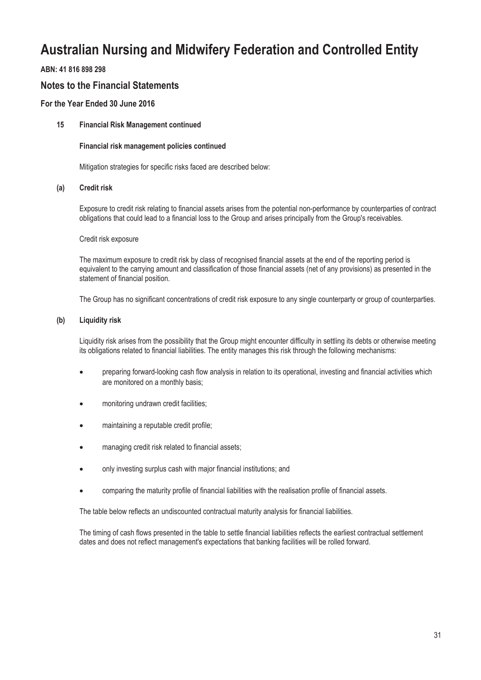# **ABN: 41 816 898 298**

# **Notes to the Financial Statements**

## **For the Year Ended 30 June 2016**

#### **15 Financial Risk Management continued**

#### **Financial risk management policies continued**

Mitigation strategies for specific risks faced are described below:

#### **(a) Credit risk**

Exposure to credit risk relating to financial assets arises from the potential non-performance by counterparties of contract obligations that could lead to a financial loss to the Group and arises principally from the Group's receivables.

#### Credit risk exposure

The maximum exposure to credit risk by class of recognised financial assets at the end of the reporting period is equivalent to the carrying amount and classification of those financial assets (net of any provisions) as presented in the statement of financial position.

The Group has no significant concentrations of credit risk exposure to any single counterparty or group of counterparties.

#### **(b) Liquidity risk**

Liquidity risk arises from the possibility that the Group might encounter difficulty in settling its debts or otherwise meeting its obligations related to financial liabilities. The entity manages this risk through the following mechanisms:

- preparing forward-looking cash flow analysis in relation to its operational, investing and financial activities which are monitored on a monthly basis;
- . monitoring undrawn credit facilities;
- maintaining a reputable credit profile;
- managing credit risk related to financial assets;
- only investing surplus cash with major financial institutions; and
- comparing the maturity profile of financial liabilities with the realisation profile of financial assets.

The table below reflects an undiscounted contractual maturity analysis for financial liabilities.

The timing of cash flows presented in the table to settle financial liabilities reflects the earliest contractual settlement dates and does not reflect management's expectations that banking facilities will be rolled forward.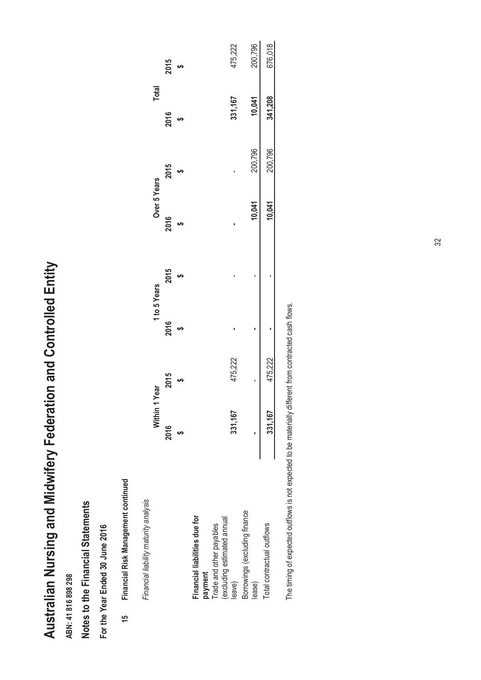Australian Nursing and Midwifery Federation and Controlled Entity **Australian Nursing and Midwifery Federation and Controlled Entity**

# Notes to the Financial Statements **Notes to the Financial Statements**

# For the Year Ended 30 June 2016 **For the Year Ended 30 June 2016**

Financial Risk Management continued **15 Financial Risk Management continued**  $15$ 

| Financial liability maturity analysis | Within  | Year         | 1 to 5 Years |          | Over 5 Years |         | Total   |         |
|---------------------------------------|---------|--------------|--------------|----------|--------------|---------|---------|---------|
|                                       | 2016    |              | 2016         | 2015     | 2016         | 2015    | 2016    | 2015    |
|                                       |         | $2015$<br>\$ | R            | <b>S</b> |              | မာ      |         | Ø       |
| Financial liabilities due for         |         |              |              |          |              |         |         |         |
| payment                               |         |              |              |          |              |         |         |         |
| Trade and other payables              |         |              |              |          |              |         |         |         |
| excluding estimated annual<br>leave)  | 331,167 | 475,222      |              |          |              |         | 331,167 | 475,222 |
| Borrowings (excluding finance         |         |              |              |          |              |         |         |         |
| lease)                                |         | ı            |              | ı        | 10,041       | 200,796 | 10,041  | 200,796 |
| Total contractual outflows            | 331,167 | 475,222      |              | I        | 10,041       | 200,796 | 341,208 | 676,018 |

The timing of expected outflows is not expected to be materially different from contracted cash flows. The timing of expected outflows is not expected to be materially different from contracted cash flows. 32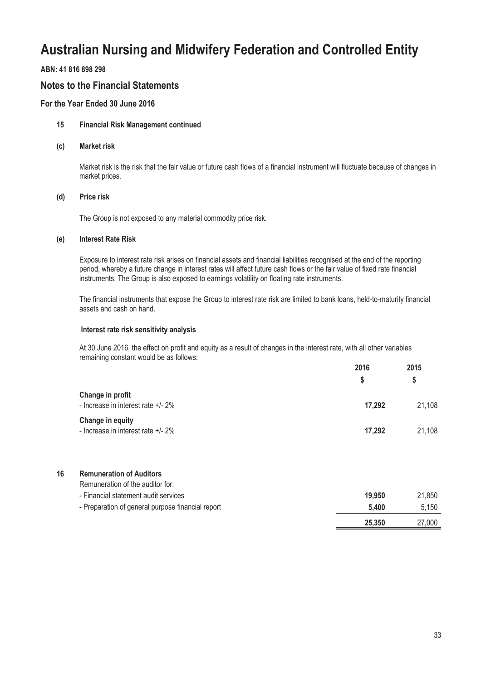# **ABN: 41 816 898 298**

# **Notes to the Financial Statements**

## **For the Year Ended 30 June 2016**

- **15 Financial Risk Management continued**
- **(c) Market risk**

Market risk is the risk that the fair value or future cash flows of a financial instrument will fluctuate because of changes in market prices.

#### **(d) Price risk**

The Group is not exposed to any material commodity price risk.

#### **(e) Interest Rate Risk**

Exposure to interest rate risk arises on financial assets and financial liabilities recognised at the end of the reporting period, whereby a future change in interest rates will affect future cash flows or the fair value of fixed rate financial instruments. The Group is also exposed to earnings volatility on floating rate instruments.

The financial instruments that expose the Group to interest rate risk are limited to bank loans, held-to-maturity financial assets and cash on hand.

#### **Interest rate risk sensitivity analysis**

At 30 June 2016, the effect on profit and equity as a result of changes in the interest rate, with all other variables remaining constant would be as follows: **2016 2015**

|                                                        | 2016<br>S | 2015<br>S |
|--------------------------------------------------------|-----------|-----------|
| Change in profit<br>- Increase in interest rate +/- 2% | 17,292    | 21,108    |
| Change in equity<br>- Increase in interest rate +/- 2% | 17,292    | 21,108    |

#### **16 Remuneration of Auditors**

Remuneration of the auditor for:

|  | - Financial statement audit services |  |
|--|--------------------------------------|--|

| - Financial statement audit services              | 19.950 | 21,850 |
|---------------------------------------------------|--------|--------|
| - Preparation of general purpose financial report | 5.400  | 5.150  |
|                                                   | 25,350 | 27,000 |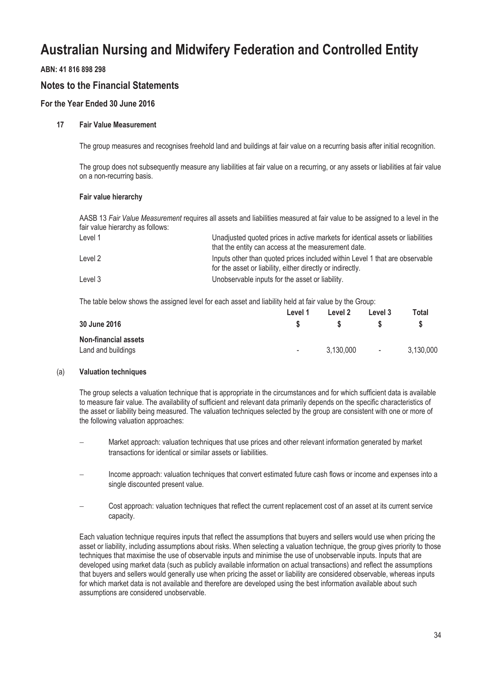# **ABN: 41 816 898 298**

# **Notes to the Financial Statements**

# **For the Year Ended 30 June 2016**

## **17 Fair Value Measurement**

The group measures and recognises freehold land and buildings at fair value on a recurring basis after initial recognition.

The group does not subsequently measure any liabilities at fair value on a recurring, or any assets or liabilities at fair value on a non-recurring basis.

## **Fair value hierarchy**

AASB 13 *Fair Value Measurement* requires all assets and liabilities measured at fair value to be assigned to a level in the fair value hierarchy as follows:

| Level 1 | Unadjusted quoted prices in active markets for identical assets or liabilities<br>that the entity can access at the measurement date.     |
|---------|-------------------------------------------------------------------------------------------------------------------------------------------|
| Level 2 | Inputs other than quoted prices included within Level 1 that are observable<br>for the asset or liability, either directly or indirectly. |
| Level 3 | Unobservable inputs for the asset or liability.                                                                                           |

The table below shows the assigned level for each asset and liability held at fair value by the Group:

|                             | Level 1    | Level 2   | Level 3                 | Total     |
|-----------------------------|------------|-----------|-------------------------|-----------|
| 30 June 2016                |            |           |                         |           |
| <b>Non-financial assets</b> |            |           |                         |           |
| Land and buildings          | $\sim 100$ | 3.130.000 | $\sim 100$ km s $^{-1}$ | 3,130,000 |

#### (a) **Valuation techniques**

The group selects a valuation technique that is appropriate in the circumstances and for which sufficient data is available to measure fair value. The availability of sufficient and relevant data primarily depends on the specific characteristics of the asset or liability being measured. The valuation techniques selected by the group are consistent with one or more of the following valuation approaches:

- Market approach: valuation techniques that use prices and other relevant information generated by market transactions for identical or similar assets or liabilities.
- Income approach: valuation techniques that convert estimated future cash flows or income and expenses into a single discounted present value.
- Cost approach: valuation techniques that reflect the current replacement cost of an asset at its current service capacity.

Each valuation technique requires inputs that reflect the assumptions that buyers and sellers would use when pricing the asset or liability, including assumptions about risks. When selecting a valuation technique, the group gives priority to those techniques that maximise the use of observable inputs and minimise the use of unobservable inputs. Inputs that are developed using market data (such as publicly available information on actual transactions) and reflect the assumptions that buyers and sellers would generally use when pricing the asset or liability are considered observable, whereas inputs for which market data is not available and therefore are developed using the best information available about such assumptions are considered unobservable.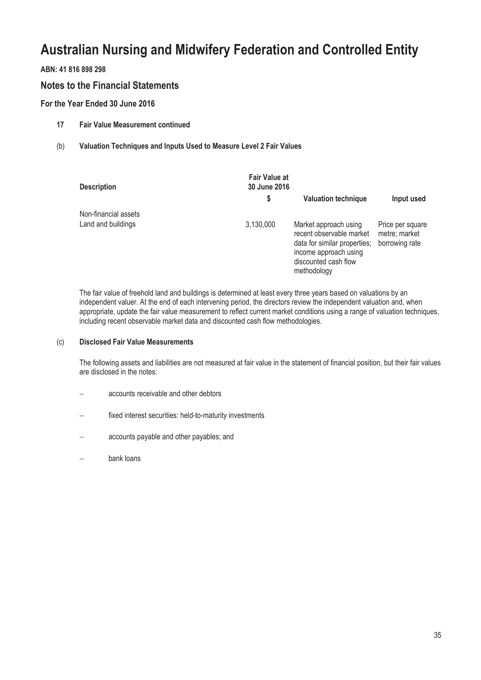# **ABN: 41 816 898 298**

# **Notes to the Financial Statements**

# **For the Year Ended 30 June 2016**

- **17 Fair Value Measurement continued**
- (b) **Valuation Techniques and Inputs Used to Measure Level 2 Fair Values**

| <b>Description</b>   | <b>Fair Value at</b><br>30 June 2016 |                                                                                                                                                   |                                                     |
|----------------------|--------------------------------------|---------------------------------------------------------------------------------------------------------------------------------------------------|-----------------------------------------------------|
|                      | \$                                   | <b>Valuation technique</b>                                                                                                                        | Input used                                          |
| Non-financial assets |                                      |                                                                                                                                                   |                                                     |
| Land and buildings   | 3,130,000                            | Market approach using<br>recent observable market<br>data for similar properties;<br>income approach using<br>discounted cash flow<br>methodology | Price per square<br>metre; market<br>borrowing rate |

The fair value of freehold land and buildings is determined at least every three years based on valuations by an independent valuer. At the end of each intervening period, the directors review the independent valuation and, when appropriate, update the fair value measurement to reflect current market conditions using a range of valuation techniques, including recent observable market data and discounted cash flow methodologies.

## (c) **Disclosed Fair Value Measurements**

The following assets and liabilities are not measured at fair value in the statement of financial position, but their fair values are disclosed in the notes:

- accounts receivable and other debtors
- fixed interest securities: held-to-maturity investments
- accounts payable and other payables; and
- bank loans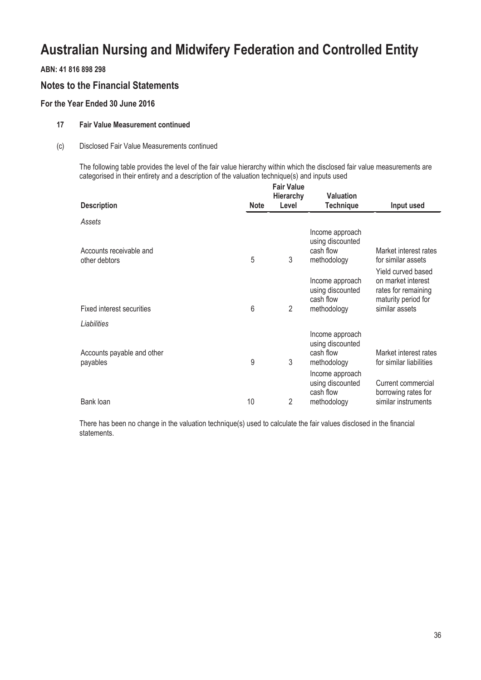# **ABN: 41 816 898 298**

# **Notes to the Financial Statements**

# **For the Year Ended 30 June 2016**

## **17 Fair Value Measurement continued**

## (c) Disclosed Fair Value Measurements continued

The following table provides the level of the fair value hierarchy within which the disclosed fair value measurements are categorised in their entirety and a description of the valuation technique(s) and inputs used **Fair Value**

|                                                       |             | <b>rair</b> value<br><b>Hierarchy</b> | <b>Valuation</b>                                                |                                                                                                          |
|-------------------------------------------------------|-------------|---------------------------------------|-----------------------------------------------------------------|----------------------------------------------------------------------------------------------------------|
| <b>Description</b>                                    | <b>Note</b> | Level                                 | <b>Technique</b>                                                | Input used                                                                                               |
| Assets                                                |             |                                       |                                                                 |                                                                                                          |
| Accounts receivable and<br>other debtors              | 5           | 3                                     | Income approach<br>using discounted<br>cash flow<br>methodology | Market interest rates<br>for similar assets                                                              |
| <b>Fixed interest securities</b>                      | 6           | $\overline{2}$                        | Income approach<br>using discounted<br>cash flow<br>methodology | Yield curved based<br>on market interest<br>rates for remaining<br>maturity period for<br>similar assets |
|                                                       |             |                                       |                                                                 |                                                                                                          |
| Liabilities<br>Accounts payable and other<br>payables | 9           | 3                                     | Income approach<br>using discounted<br>cash flow<br>methodology | Market interest rates<br>for similar liabilities                                                         |
| Bank loan                                             | 10          | 2                                     | Income approach<br>using discounted<br>cash flow<br>methodology | Current commercial<br>borrowing rates for<br>similar instruments                                         |
|                                                       |             |                                       |                                                                 |                                                                                                          |

There has been no change in the valuation technique(s) used to calculate the fair values disclosed in the financial statements.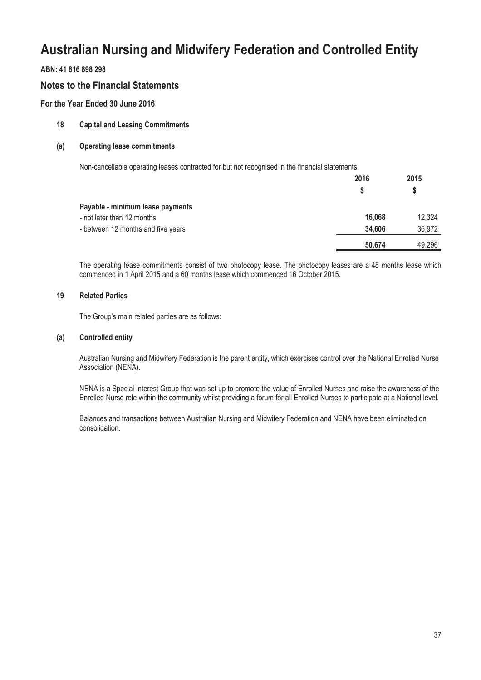# **ABN: 41 816 898 298**

# **Notes to the Financial Statements**

# **For the Year Ended 30 June 2016**

## **18 Capital and Leasing Commitments**

## **(a) Operating lease commitments**

Non-cancellable operating leases contracted for but not recognised in the financial statements.

|                                    | 2016   | 2015   |
|------------------------------------|--------|--------|
|                                    | S      |        |
| Payable - minimum lease payments   |        |        |
| - not later than 12 months         | 16,068 | 12,324 |
| - between 12 months and five years | 34,606 | 36,972 |
|                                    | 50.674 | 49,296 |

The operating lease commitments consist of two photocopy lease. The photocopy leases are a 48 months lease which commenced in 1 April 2015 and a 60 months lease which commenced 16 October 2015.

## **19 Related Parties**

The Group's main related parties are as follows:

#### **(a) Controlled entity**

Australian Nursing and Midwifery Federation is the parent entity, which exercises control over the National Enrolled Nurse Association (NENA).

NENA is a Special Interest Group that was set up to promote the value of Enrolled Nurses and raise the awareness of the Enrolled Nurse role within the community whilst providing a forum for all Enrolled Nurses to participate at a National level.

Balances and transactions between Australian Nursing and Midwifery Federation and NENA have been eliminated on consolidation.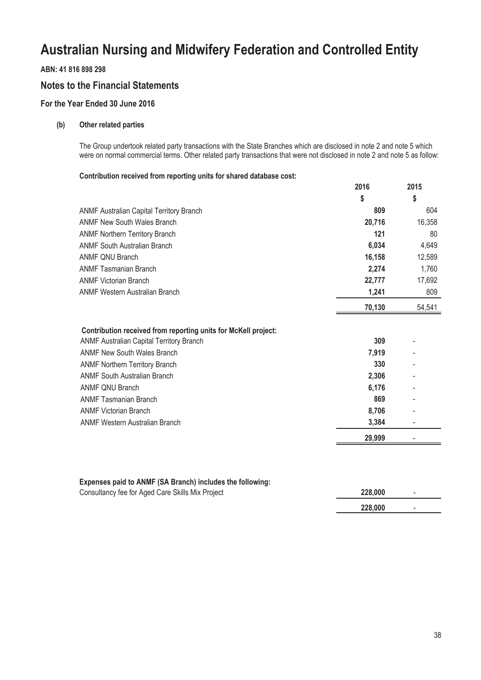**ABN: 41 816 898 298**

# **Notes to the Financial Statements**

# **For the Year Ended 30 June 2016**

## **(b) Other related parties**

The Group undertook related party transactions with the State Branches which are disclosed in note 2 and note 5 which were on normal commercial terms. Other related party transactions that were not disclosed in note 2 and note 5 as follow:

#### **Contribution received from reporting units for shared database cost:**

|                                                                | 20 I O | ZUIJ   |
|----------------------------------------------------------------|--------|--------|
|                                                                | \$     | \$     |
| <b>ANMF Australian Capital Territory Branch</b>                | 809    | 604    |
| <b>ANMF New South Wales Branch</b>                             | 20,716 | 16,358 |
| <b>ANMF Northern Territory Branch</b>                          | 121    | 80     |
| <b>ANMF South Australian Branch</b>                            | 6,034  | 4,649  |
| <b>ANMF ONU Branch</b>                                         | 16,158 | 12,589 |
| <b>ANMF Tasmanian Branch</b>                                   | 2,274  | 1,760  |
| <b>ANMF Victorian Branch</b>                                   | 22,777 | 17,692 |
| <b>ANMF Western Australian Branch</b>                          | 1,241  | 809    |
|                                                                | 70,130 | 54,541 |
| Contribution received from reporting units for McKell project: |        |        |
| ANMF Australian Capital Territory Branch                       | 309    |        |
| <b>ANMF New South Wales Branch</b>                             | 7,919  |        |
| <b>ANMF Northern Territory Branch</b>                          | 330    |        |
| <b>ANMF South Australian Branch</b>                            | 2,306  |        |
| <b>ANMF ONU Branch</b>                                         | 6,176  |        |
| <b>ANMF Tasmanian Branch</b>                                   | 869    |        |
| <b>ANMF Victorian Branch</b>                                   | 8,706  |        |
| ANMF Western Australian Branch                                 | 3,384  |        |
|                                                                | 29,999 |        |
|                                                                |        |        |

# **Expenses paid to ANMF (SA Branch) includes the following:**

Consultancy fee for Aged Care Skills Mix Project **228,000** -

| 220,000 |  |
|---------|--|
| 228,000 |  |

**2016**

**2015**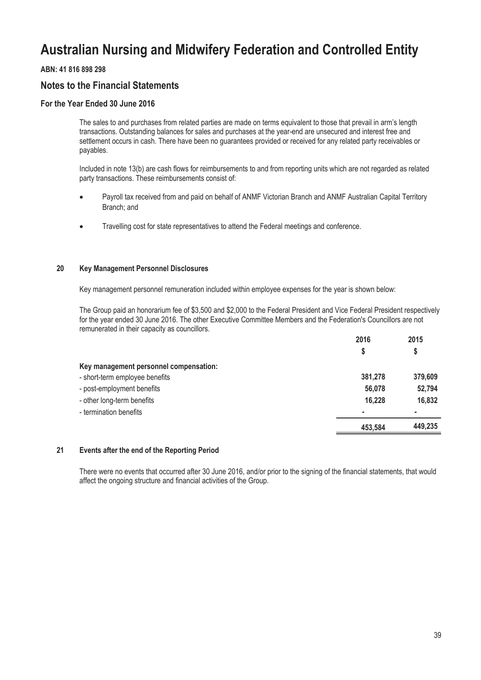# **ABN: 41 816 898 298**

# **Notes to the Financial Statements**

## **For the Year Ended 30 June 2016**

The sales to and purchases from related parties are made on terms equivalent to those that prevail in arm's length transactions. Outstanding balances for sales and purchases at the year-end are unsecured and interest free and settlement occurs in cash. There have been no guarantees provided or received for any related party receivables or payables.

Included in note 13(b) are cash flows for reimbursements to and from reporting units which are not regarded as related party transactions. These reimbursements consist of:

- Payroll tax received from and paid on behalf of ANMF Victorian Branch and ANMF Australian Capital Territory Branch; and
- ! Travelling cost for state representatives to attend the Federal meetings and conference.

## **20 Key Management Personnel Disclosures**

Key management personnel remuneration included within employee expenses for the year is shown below:

The Group paid an honorarium fee of \$3,500 and \$2,000 to the Federal President and Vice Federal President respectively for the year ended 30 June 2016. The other Executive Committee Members and the Federation's Councillors are not remunerated in their capacity as councillors.

|                                        | 2016<br>\$ | 2015<br>\$ |
|----------------------------------------|------------|------------|
|                                        |            |            |
| Key management personnel compensation: |            |            |
| - short-term employee benefits         | 381,278    | 379,609    |
| - post-employment benefits             | 56,078     | 52,794     |
| - other long-term benefits             | 16,228     | 16,832     |
| - termination benefits                 | ٠          | ٠          |
|                                        | 453,584    | 449,235    |

#### **21 Events after the end of the Reporting Period**

There were no events that occurred after 30 June 2016, and/or prior to the signing of the financial statements, that would affect the ongoing structure and financial activities of the Group.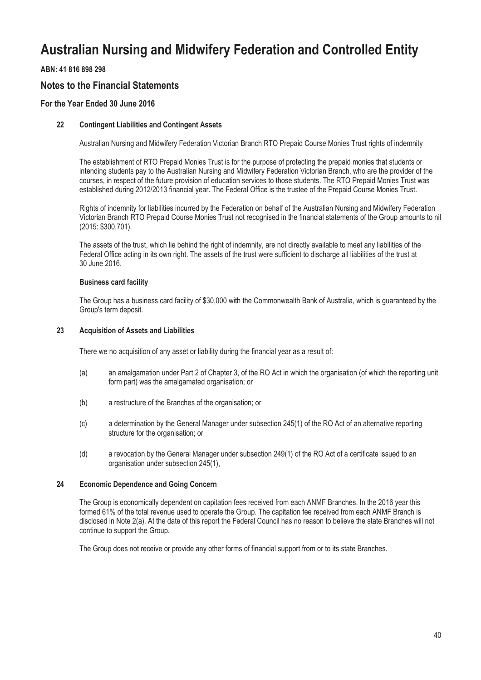# **ABN: 41 816 898 298**

# **Notes to the Financial Statements**

## **For the Year Ended 30 June 2016**

## **22 Contingent Liabilities and Contingent Assets**

Australian Nursing and Midwifery Federation Victorian Branch RTO Prepaid Course Monies Trust rights of indemnity

The establishment of RTO Prepaid Monies Trust is for the purpose of protecting the prepaid monies that students or intending students pay to the Australian Nursing and Midwifery Federation Victorian Branch, who are the provider of the courses, in respect of the future provision of education services to those students. The RTO Prepaid Monies Trust was established during 2012/2013 financial year. The Federal Office is the trustee of the Prepaid Course Monies Trust.

Rights of indemnity for liabilities incurred by the Federation on behalf of the Australian Nursing and Midwifery Federation Victorian Branch RTO Prepaid Course Monies Trust not recognised in the financial statements of the Group amounts to nil (2015: \$300,701).

The assets of the trust, which lie behind the right of indemnity, are not directly available to meet any liabilities of the Federal Office acting in its own right. The assets of the trust were sufficient to discharge all liabilities of the trust at 30 June 2016.

## **Business card facility**

The Group has a business card facility of \$30,000 with the Commonwealth Bank of Australia, which is guaranteed by the Group's term deposit.

## **23 Acquisition of Assets and Liabilities**

There we no acquisition of any asset or liability during the financial year as a result of:

- (a) an amalgamation under Part 2 of Chapter 3, of the RO Act in which the organisation (of which the reporting unit form part) was the amalgamated organisation; or
- (b) a restructure of the Branches of the organisation; or
- (c) a determination by the General Manager under subsection 245(1) of the RO Act of an alternative reporting structure for the organisation; or
- (d) a revocation by the General Manager under subsection 249(1) of the RO Act of a certificate issued to an organisation under subsection 245(1),

#### **24 Economic Dependence and Going Concern**

The Group is economically dependent on capitation fees received from each ANMF Branches. In the 2016 year this formed 61% of the total revenue used to operate the Group. The capitation fee received from each ANMF Branch is disclosed in Note 2(a). At the date of this report the Federal Council has no reason to believe the state Branches will not continue to support the Group.

The Group does not receive or provide any other forms of financial support from or to its state Branches.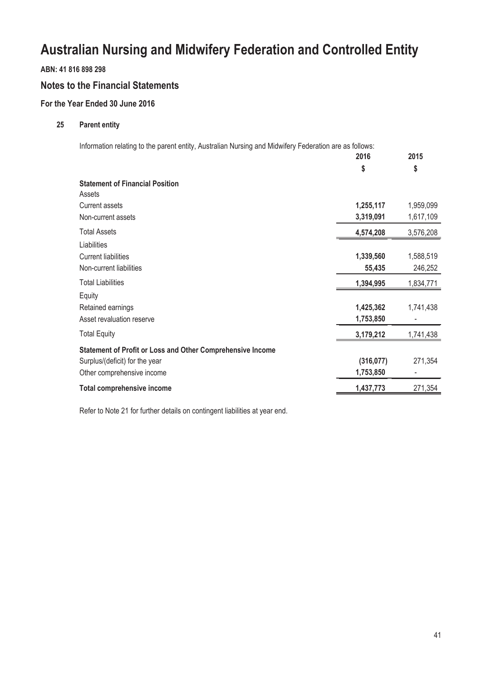**ABN: 41 816 898 298**

# **Notes to the Financial Statements**

**For the Year Ended 30 June 2016**

## **25 Parent entity**

Information relating to the parent entity, Australian Nursing and Midwifery Federation are as follows:

|                                                                   | 2016       | 2015      |
|-------------------------------------------------------------------|------------|-----------|
|                                                                   | \$         | \$        |
| <b>Statement of Financial Position</b><br>Assets                  |            |           |
| <b>Current assets</b>                                             | 1,255,117  | 1,959,099 |
| Non-current assets                                                | 3,319,091  | 1,617,109 |
| <b>Total Assets</b>                                               | 4,574,208  | 3,576,208 |
| Liabilities                                                       |            |           |
| <b>Current liabilities</b>                                        | 1,339,560  | 1,588,519 |
| Non-current liabilities                                           | 55,435     | 246,252   |
| <b>Total Liabilities</b>                                          | 1,394,995  | 1,834,771 |
| Equity                                                            |            |           |
| Retained earnings                                                 | 1,425,362  | 1,741,438 |
| Asset revaluation reserve                                         | 1,753,850  |           |
| <b>Total Equity</b>                                               | 3,179,212  | 1,741,438 |
| <b>Statement of Profit or Loss and Other Comprehensive Income</b> |            |           |
| Surplus/(deficit) for the year                                    | (316, 077) | 271,354   |
| Other comprehensive income                                        | 1,753,850  |           |
| <b>Total comprehensive income</b>                                 | 1,437,773  | 271,354   |
|                                                                   |            |           |

Refer to Note 21 for further details on contingent liabilities at year end.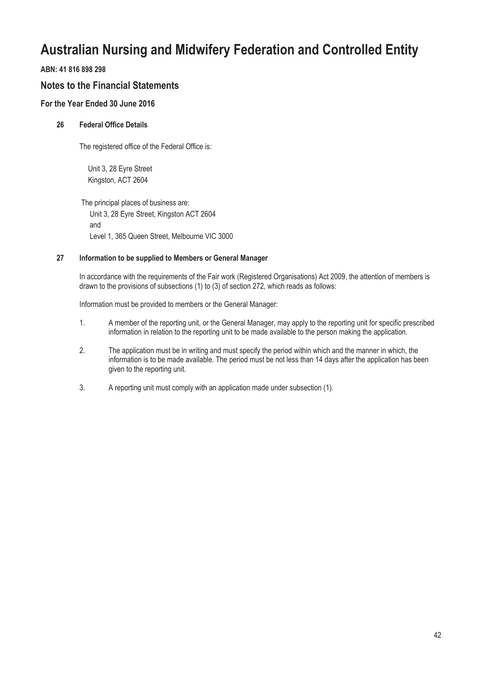# **ABN: 41 816 898 298**

# **Notes to the Financial Statements**

## **For the Year Ended 30 June 2016**

## **26 Federal Office Details**

The registered office of the Federal Office is:

Unit 3, 28 Eyre Street Kingston, ACT 2604

The principal places of business are: Unit 3, 28 Eyre Street, Kingston ACT 2604 and Level 1, 365 Queen Street, Melbourne VIC 3000

#### **27 Information to be supplied to Members or General Manager**

In accordance with the requirements of the Fair work (Registered Organisations) Act 2009, the attention of members is drawn to the provisions of subsections (1) to (3) of section 272, which reads as follows:

Information must be provided to members or the General Manager:

- 1. A member of the reporting unit, or the General Manager, may apply to the reporting unit for specific prescribed information in relation to the reporting unit to be made available to the person making the application.
- 2. The application must be in writing and must specify the period within which and the manner in which, the information is to be made available. The period must be not less than 14 days after the application has been given to the reporting unit.
- 3. A reporting unit must comply with an application made under subsection (1).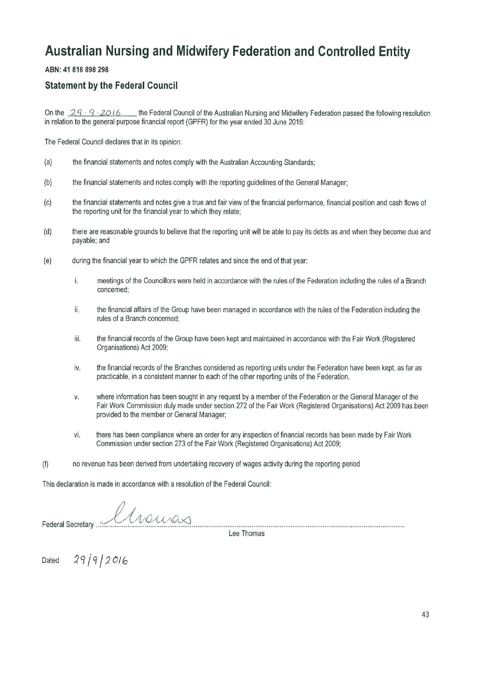## ABN: 41 816 898 298

# **Statement by the Federal Council**

On the  $29 \cdot 9 \cdot 2016$  the Federal Council of the Australian Nursing and Midwifery Federation passed the following resolution in relation to the general purpose financial report (GPFR) for the year ended 30 June 2016:

The Federal Council declares that in its opinion:

- the financial statements and notes comply with the Australian Accounting Standards;  $(a)$
- $(b)$ the financial statements and notes comply with the reporting quidelines of the General Manager:
- the financial statements and notes give a true and fair view of the financial performance, financial position and cash flows of  $(c)$ the reporting unit for the financial year to which they relate:
- there are reasonable grounds to believe that the reporting unit will be able to pay its debts as and when they become due and  $(d)$ payable; and
- $(e)$ during the financial year to which the GPFR relates and since the end of that year:
	- j. meetings of the Councillors were held in accordance with the rules of the Federation including the rules of a Branch concerned;
	- ii. the financial affairs of the Group have been managed in accordance with the rules of the Federation including the rules of a Branch concerned:
	- iii. the financial records of the Group have been kept and maintained in accordance with the Fair Work (Registered Organisations) Act 2009;
	- the financial records of the Branches considered as reporting units under the Federation have been kept, as far as iv. practicable, in a consistent manner to each of the other reporting units of the Federation.
	- where information has been sought in any request by a member of the Federation or the General Manager of the v. Fair Work Commission duly made under section 272 of the Fair Work (Registered Organisations) Act 2009 has been provided to the member or General Manager;
	- there has been compliance where an order for any inspection of financial records has been made by Fair Work vi. Commission under section 273 of the Fair Work (Registered Organisations) Act 2009;
- $(f)$ no revenue has been derived from undertaking recovery of wages activity during the reporting period

This declaration is made in accordance with a resolution of the Federal Council:

Chouses Federal Secretary ... 

Lee Thomas

 $29/9/2016$ Dated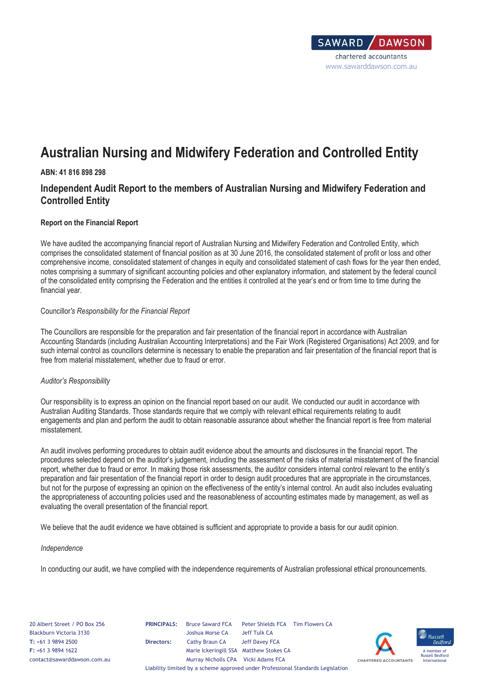

## **ABN: 41 816 898 298**

# **Independent Audit Report to the members of Australian Nursing and Midwifery Federation and Controlled Entity**

## **Report on the Financial Report**

We have audited the accompanying financial report of Australian Nursing and Midwifery Federation and Controlled Entity, which comprises the consolidated statement of financial position as at 30 June 2016, the consolidated statement of profit or loss and other comprehensive income, consolidated statement of changes in equity and consolidated statement of cash flows for the year then ended, notes comprising a summary of significant accounting policies and other explanatory information, and statement by the federal council of the consolidated entity comprising the Federation and the entities it controlled at the year's end or from time to time during the financial year.

#### Councillor*'s Responsibility for the Financial Report*

The Councillors are responsible for the preparation and fair presentation of the financial report in accordance with Australian Accounting Standards (including Australian Accounting Interpretations) and the Fair Work (Registered Organisations) Act 2009, and for such internal control as councillors determine is necessary to enable the preparation and fair presentation of the financial report that is free from material misstatement, whether due to fraud or error.

## *Auditor's Responsibility*

Our responsibility is to express an opinion on the financial report based on our audit. We conducted our audit in accordance with Australian Auditing Standards. Those standards require that we comply with relevant ethical requirements relating to audit engagements and plan and perform the audit to obtain reasonable assurance about whether the financial report is free from material misstatement.

An audit involves performing procedures to obtain audit evidence about the amounts and disclosures in the financial report. The procedures selected depend on the auditor's judgement, including the assessment of the risks of material misstatement of the financial report, whether due to fraud or error. In making those risk assessments, the auditor considers internal control relevant to the entity's preparation and fair presentation of the financial report in order to design audit procedures that are appropriate in the circumstances, but not for the purpose of expressing an opinion on the effectiveness of the entity's internal control. An audit also includes evaluating the appropriateness of accounting policies used and the reasonableness of accounting estimates made by management, as well as evaluating the overall presentation of the financial report.

We believe that the audit evidence we have obtained is sufficient and appropriate to provide a basis for our audit opinion.

#### *Independence*

In conducting our audit, we have complied with the independence requirements of Australian professional ethical pronouncements.

20 Albert Street / PO Box 256 **PRINCIPALS:** Bruce Saward FCA Peter Shields FCA Tim Flowers CA Blackburn Victoria 3130 **Blackburn Victoria 3130** Joshua Morse CA Jeff Tulk CA **T:** +61 3 9894 2500 **Directors:** Cathy Braun CA Jeff Davey FCA **F:** +61 3 9894 1622 Marie Ickeringill SSA Matthew Stokes CA contact@sawarddawson.com.au Murray Nicholls CPA Vicki Adams FCA Liability limited by a scheme approved under Professional Standards Legislation